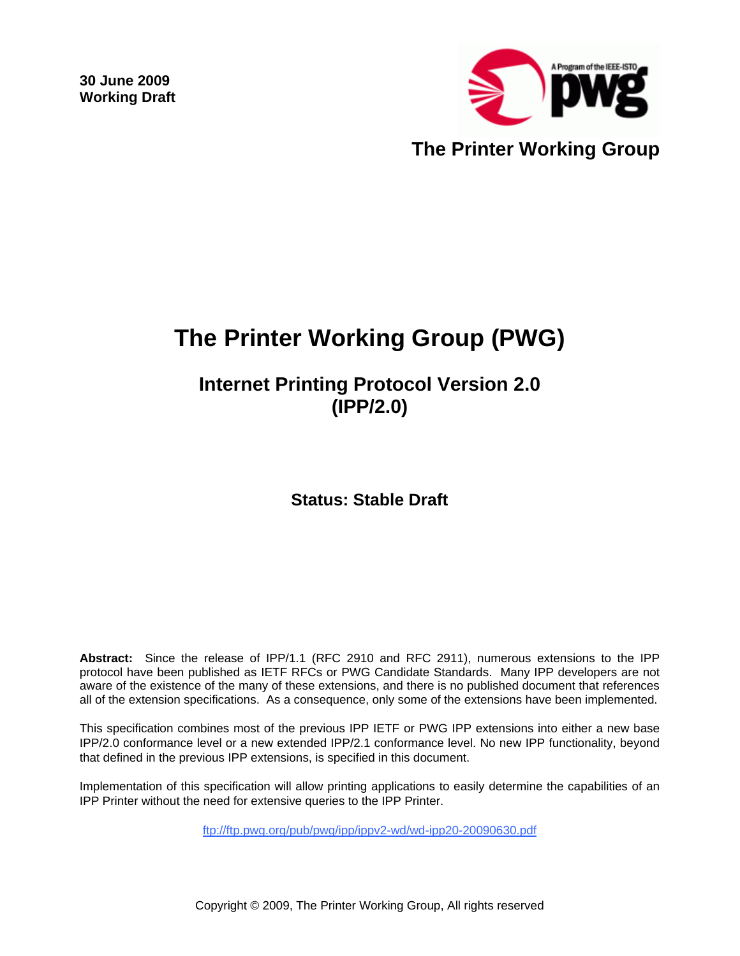**30 June 2009 Working Draft** 



# **The Printer Working Group (PWG)**

**Internet Printing Protocol Version 2.0 (IPP/2.0)** 

**Status: Stable Draft** 

**Abstract:** Since the release of IPP/1.1 (RFC 2910 and RFC 2911), numerous extensions to the IPP protocol have been published as IETF RFCs or PWG Candidate Standards. Many IPP developers are not aware of the existence of the many of these extensions, and there is no published document that references all of the extension specifications. As a consequence, only some of the extensions have been implemented.

This specification combines most of the previous IPP IETF or PWG IPP extensions into either a new base IPP/2.0 conformance level or a new extended IPP/2.1 conformance level. No new IPP functionality, beyond that defined in the previous IPP extensions, is specified in this document.

Implementation of this specification will allow printing applications to easily determine the capabilities of an IPP Printer without the need for extensive queries to the IPP Printer.

ftp://ftp.pwg.org/pub/pwg/ipp/ippv2-wd/wd-ipp20-20090630.pdf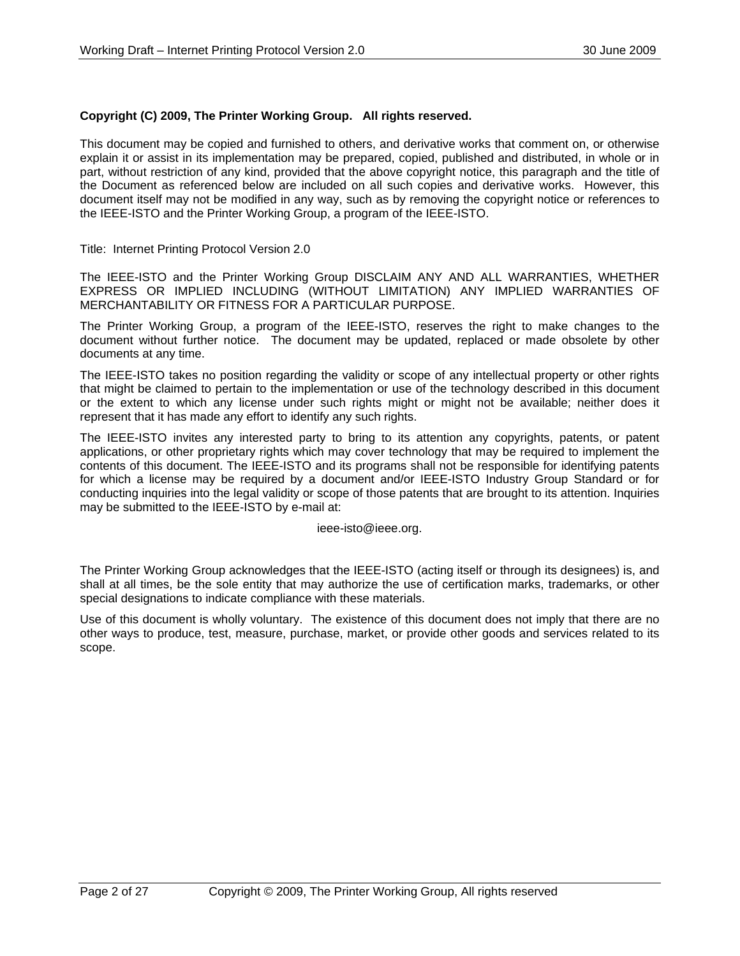#### **Copyright (C) 2009, The Printer Working Group. All rights reserved.**

This document may be copied and furnished to others, and derivative works that comment on, or otherwise explain it or assist in its implementation may be prepared, copied, published and distributed, in whole or in part, without restriction of any kind, provided that the above copyright notice, this paragraph and the title of the Document as referenced below are included on all such copies and derivative works. However, this document itself may not be modified in any way, such as by removing the copyright notice or references to the IEEE-ISTO and the Printer Working Group, a program of the IEEE-ISTO.

Title: Internet Printing Protocol Version 2.0

The IEEE-ISTO and the Printer Working Group DISCLAIM ANY AND ALL WARRANTIES, WHETHER EXPRESS OR IMPLIED INCLUDING (WITHOUT LIMITATION) ANY IMPLIED WARRANTIES OF MERCHANTABILITY OR FITNESS FOR A PARTICULAR PURPOSE.

The Printer Working Group, a program of the IEEE-ISTO, reserves the right to make changes to the document without further notice. The document may be updated, replaced or made obsolete by other documents at any time.

The IEEE-ISTO takes no position regarding the validity or scope of any intellectual property or other rights that might be claimed to pertain to the implementation or use of the technology described in this document or the extent to which any license under such rights might or might not be available; neither does it represent that it has made any effort to identify any such rights.

The IEEE-ISTO invites any interested party to bring to its attention any copyrights, patents, or patent applications, or other proprietary rights which may cover technology that may be required to implement the contents of this document. The IEEE-ISTO and its programs shall not be responsible for identifying patents for which a license may be required by a document and/or IEEE-ISTO Industry Group Standard or for conducting inquiries into the legal validity or scope of those patents that are brought to its attention. Inquiries may be submitted to the IEEE-ISTO by e-mail at:

ieee-isto@ieee.org.

The Printer Working Group acknowledges that the IEEE-ISTO (acting itself or through its designees) is, and shall at all times, be the sole entity that may authorize the use of certification marks, trademarks, or other special designations to indicate compliance with these materials.

Use of this document is wholly voluntary. The existence of this document does not imply that there are no other ways to produce, test, measure, purchase, market, or provide other goods and services related to its scope.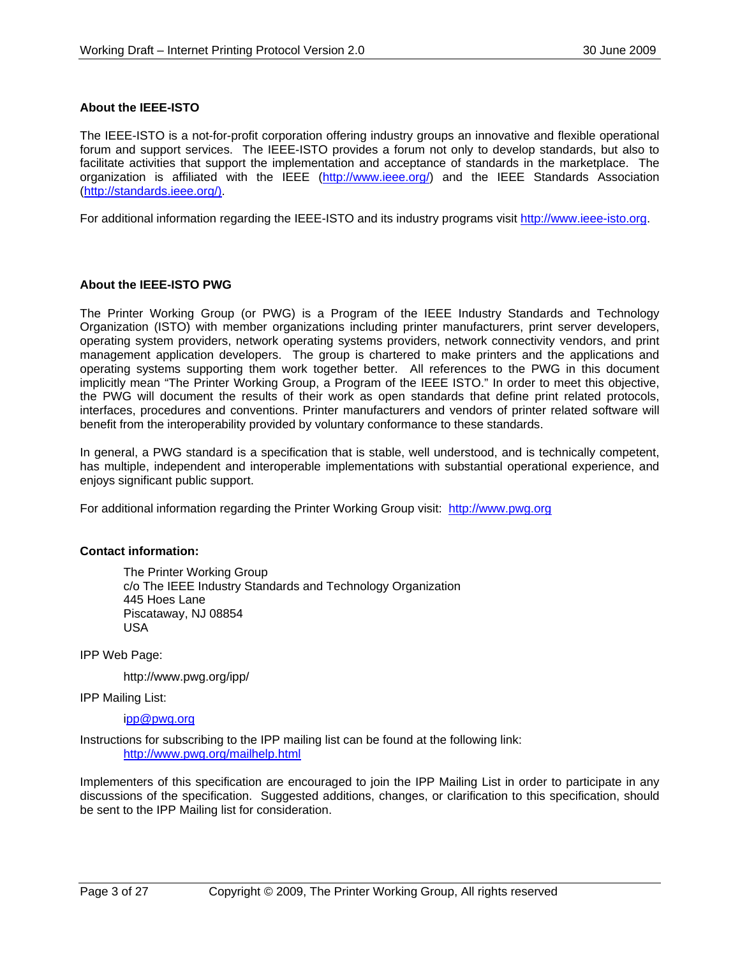#### **About the IEEE-ISTO**

The IEEE-ISTO is a not-for-profit corporation offering industry groups an innovative and flexible operational forum and support services. The IEEE-ISTO provides a forum not only to develop standards, but also to facilitate activities that support the implementation and acceptance of standards in the marketplace. The organization is affiliated with the IEEE (http://www.ieee.org/) and the IEEE Standards Association (http://standards.ieee.org/).

For additional information regarding the IEEE-ISTO and its industry programs visit http://www.ieee-isto.org.

#### **About the IEEE-ISTO PWG**

The Printer Working Group (or PWG) is a Program of the IEEE Industry Standards and Technology Organization (ISTO) with member organizations including printer manufacturers, print server developers, operating system providers, network operating systems providers, network connectivity vendors, and print management application developers. The group is chartered to make printers and the applications and operating systems supporting them work together better. All references to the PWG in this document implicitly mean "The Printer Working Group, a Program of the IEEE ISTO." In order to meet this objective, the PWG will document the results of their work as open standards that define print related protocols, interfaces, procedures and conventions. Printer manufacturers and vendors of printer related software will benefit from the interoperability provided by voluntary conformance to these standards.

In general, a PWG standard is a specification that is stable, well understood, and is technically competent, has multiple, independent and interoperable implementations with substantial operational experience, and enjoys significant public support.

For additional information regarding the Printer Working Group visit: http://www.pwg.org

#### **Contact information:**

The Printer Working Group c/o The IEEE Industry Standards and Technology Organization 445 Hoes Lane Piscataway, NJ 08854 USA

IPP Web Page:

http://www.pwg.org/ipp/

IPP Mailing List:

ipp@pwg.org

Instructions for subscribing to the IPP mailing list can be found at the following link: http://www.pwg.org/mailhelp.html

Implementers of this specification are encouraged to join the IPP Mailing List in order to participate in any discussions of the specification. Suggested additions, changes, or clarification to this specification, should be sent to the IPP Mailing list for consideration.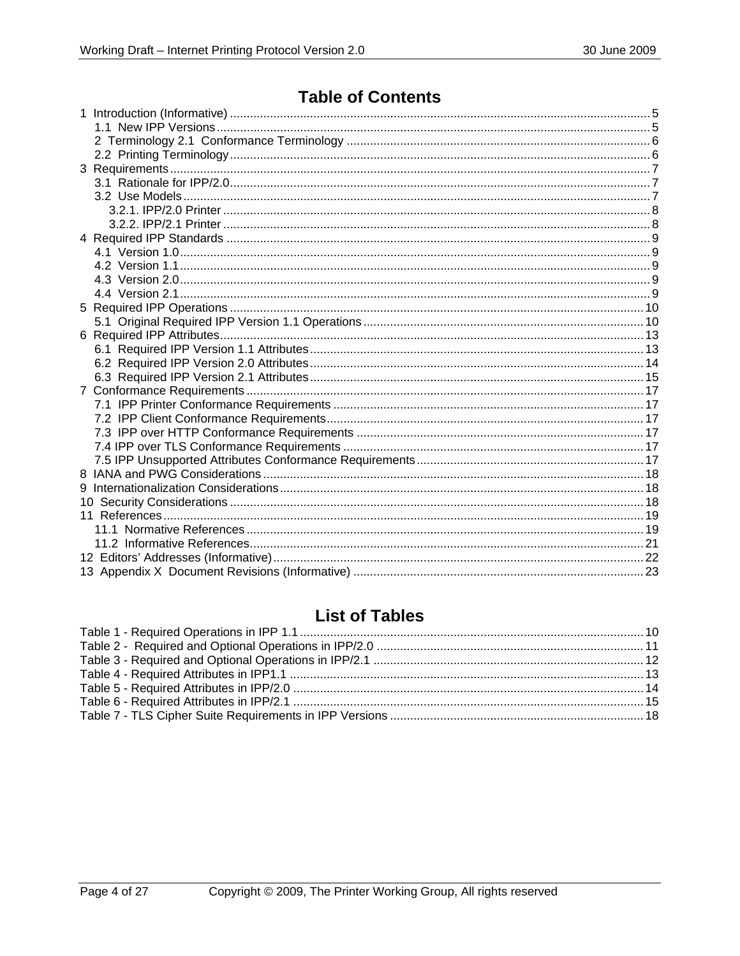## **Table of Contents**

## **List of Tables**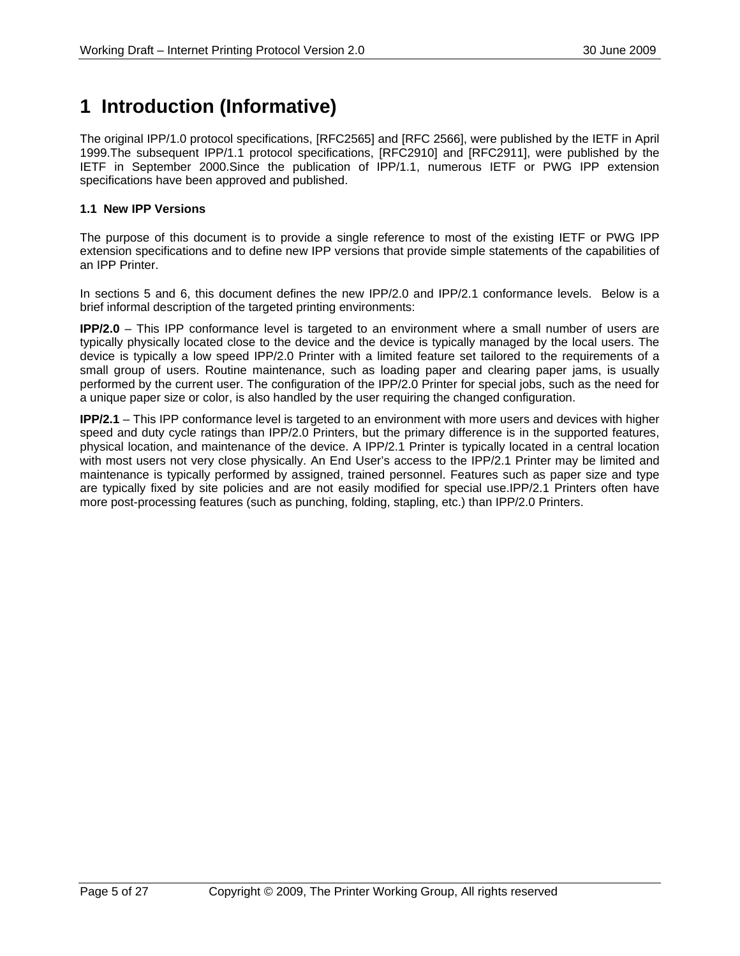## **1 Introduction (Informative)**

The original IPP/1.0 protocol specifications, [RFC2565] and [RFC 2566], were published by the IETF in April 1999.The subsequent IPP/1.1 protocol specifications, [RFC2910] and [RFC2911], were published by the IETF in September 2000.Since the publication of IPP/1.1, numerous IETF or PWG IPP extension specifications have been approved and published.

#### **1.1 New IPP Versions**

The purpose of this document is to provide a single reference to most of the existing IETF or PWG IPP extension specifications and to define new IPP versions that provide simple statements of the capabilities of an IPP Printer.

In sections 5 and 6, this document defines the new IPP/2.0 and IPP/2.1 conformance levels. Below is a brief informal description of the targeted printing environments:

**IPP/2.0** – This IPP conformance level is targeted to an environment where a small number of users are typically physically located close to the device and the device is typically managed by the local users. The device is typically a low speed IPP/2.0 Printer with a limited feature set tailored to the requirements of a small group of users. Routine maintenance, such as loading paper and clearing paper jams, is usually performed by the current user. The configuration of the IPP/2.0 Printer for special jobs, such as the need for a unique paper size or color, is also handled by the user requiring the changed configuration.

**IPP/2.1** – This IPP conformance level is targeted to an environment with more users and devices with higher speed and duty cycle ratings than IPP/2.0 Printers, but the primary difference is in the supported features, physical location, and maintenance of the device. A IPP/2.1 Printer is typically located in a central location with most users not very close physically. An End User's access to the IPP/2.1 Printer may be limited and maintenance is typically performed by assigned, trained personnel. Features such as paper size and type are typically fixed by site policies and are not easily modified for special use.IPP/2.1 Printers often have more post-processing features (such as punching, folding, stapling, etc.) than IPP/2.0 Printers.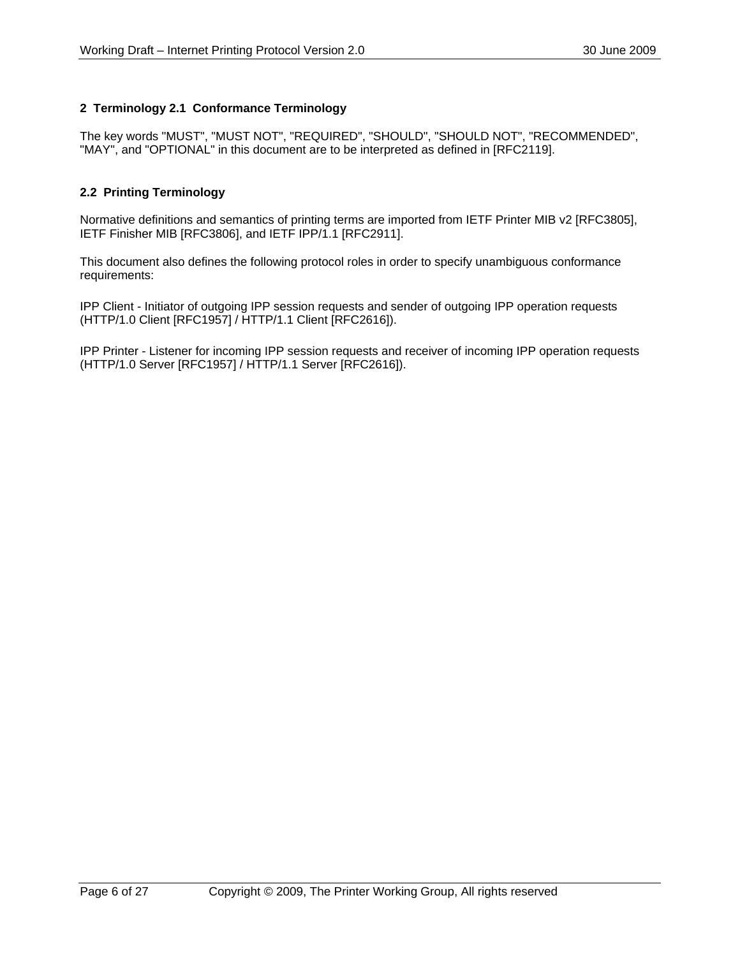### **2 Terminology 2.1 Conformance Terminology**

The key words "MUST", "MUST NOT", "REQUIRED", "SHOULD", "SHOULD NOT", "RECOMMENDED", "MAY", and "OPTIONAL" in this document are to be interpreted as defined in [RFC2119].

### **2.2 Printing Terminology**

Normative definitions and semantics of printing terms are imported from IETF Printer MIB v2 [RFC3805], IETF Finisher MIB [RFC3806], and IETF IPP/1.1 [RFC2911].

This document also defines the following protocol roles in order to specify unambiguous conformance requirements:

IPP Client - Initiator of outgoing IPP session requests and sender of outgoing IPP operation requests (HTTP/1.0 Client [RFC1957] / HTTP/1.1 Client [RFC2616]).

IPP Printer - Listener for incoming IPP session requests and receiver of incoming IPP operation requests (HTTP/1.0 Server [RFC1957] / HTTP/1.1 Server [RFC2616]).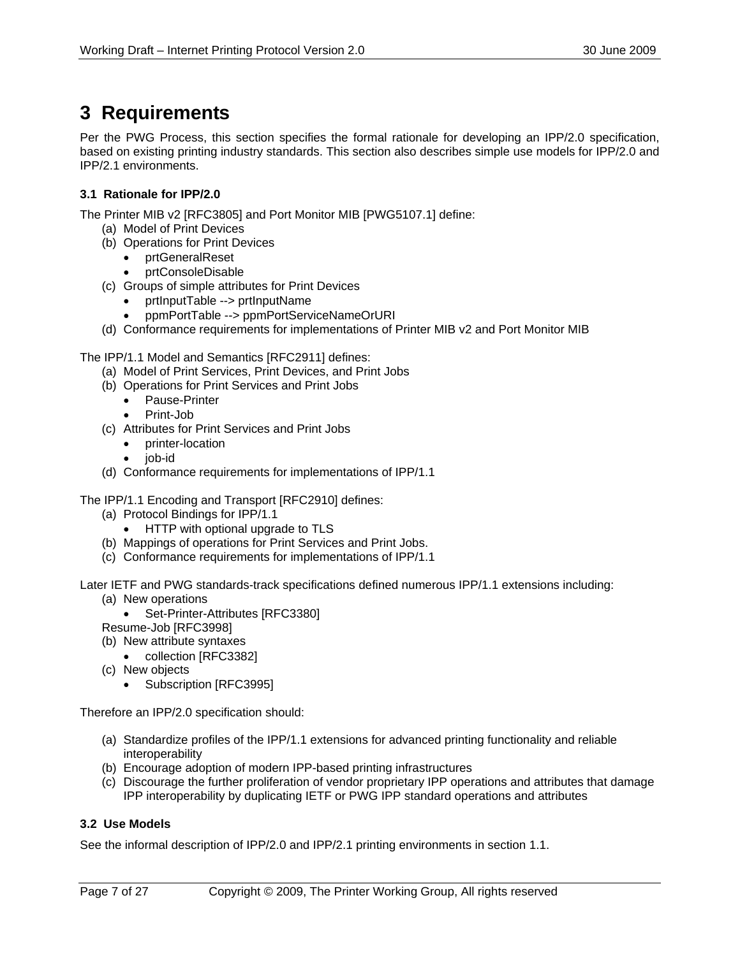## **3 Requirements**

Per the PWG Process, this section specifies the formal rationale for developing an IPP/2.0 specification, based on existing printing industry standards. This section also describes simple use models for IPP/2.0 and IPP/2.1 environments.

### **3.1 Rationale for IPP/2.0**

The Printer MIB v2 [RFC3805] and Port Monitor MIB [PWG5107.1] define:

- (a) Model of Print Devices
- (b) Operations for Print Devices
	- prtGeneralReset
	- prtConsoleDisable
- (c) Groups of simple attributes for Print Devices
	- prtInputTable --> prtInputName
	- ppmPortTable --> ppmPortServiceNameOrURI
- (d) Conformance requirements for implementations of Printer MIB v2 and Port Monitor MIB

The IPP/1.1 Model and Semantics [RFC2911] defines:

- (a) Model of Print Services, Print Devices, and Print Jobs
- (b) Operations for Print Services and Print Jobs
	- Pause-Printer
	- Print-Job
- (c) Attributes for Print Services and Print Jobs
	- printer-location
	- job-id
- (d) Conformance requirements for implementations of IPP/1.1

The IPP/1.1 Encoding and Transport [RFC2910] defines:

- (a) Protocol Bindings for IPP/1.1
	- HTTP with optional upgrade to TLS
- (b) Mappings of operations for Print Services and Print Jobs.
- (c) Conformance requirements for implementations of IPP/1.1

Later IETF and PWG standards-track specifications defined numerous IPP/1.1 extensions including:

- (a) New operations • Set-Printer-Attributes [RFC3380]
- Resume-Job [RFC3998]
- (b) New attribute syntaxes
- collection [RFC3382]
- (c) New objects
	- Subscription [RFC3995]

Therefore an IPP/2.0 specification should:

- (a) Standardize profiles of the IPP/1.1 extensions for advanced printing functionality and reliable interoperability
- (b) Encourage adoption of modern IPP-based printing infrastructures
- (c) Discourage the further proliferation of vendor proprietary IPP operations and attributes that damage IPP interoperability by duplicating IETF or PWG IPP standard operations and attributes

### **3.2 Use Models**

See the informal description of IPP/2.0 and IPP/2.1 printing environments in section 1.1.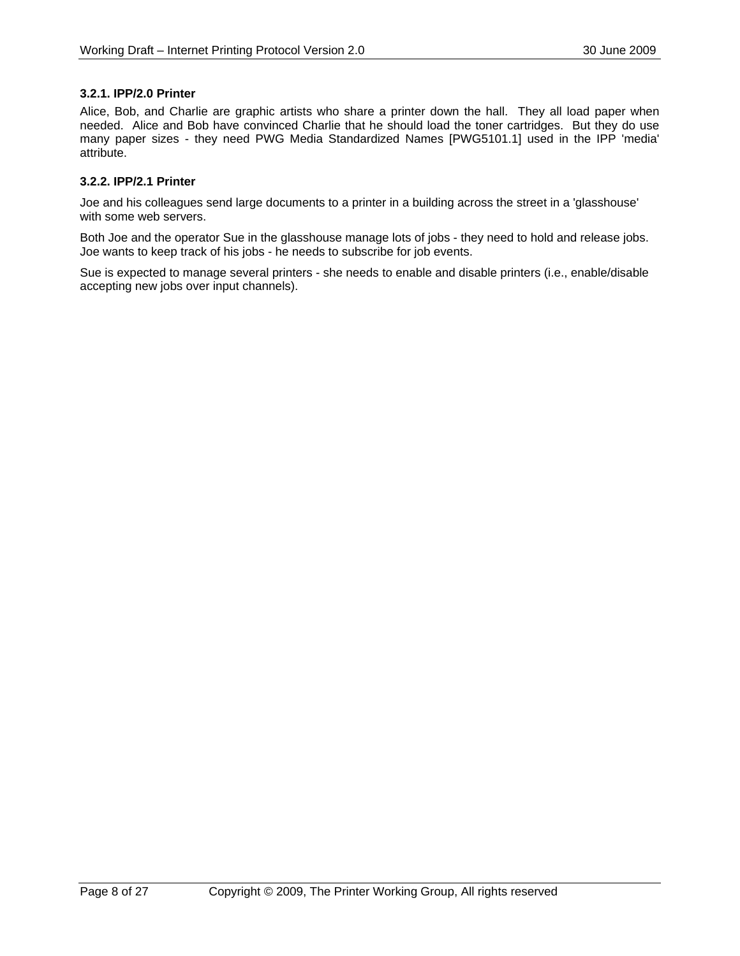#### **3.2.1. IPP/2.0 Printer**

Alice, Bob, and Charlie are graphic artists who share a printer down the hall. They all load paper when needed. Alice and Bob have convinced Charlie that he should load the toner cartridges. But they do use many paper sizes - they need PWG Media Standardized Names [PWG5101.1] used in the IPP 'media' attribute.

#### **3.2.2. IPP/2.1 Printer**

Joe and his colleagues send large documents to a printer in a building across the street in a 'glasshouse' with some web servers.

Both Joe and the operator Sue in the glasshouse manage lots of jobs - they need to hold and release jobs. Joe wants to keep track of his jobs - he needs to subscribe for job events.

Sue is expected to manage several printers - she needs to enable and disable printers (i.e., enable/disable accepting new jobs over input channels).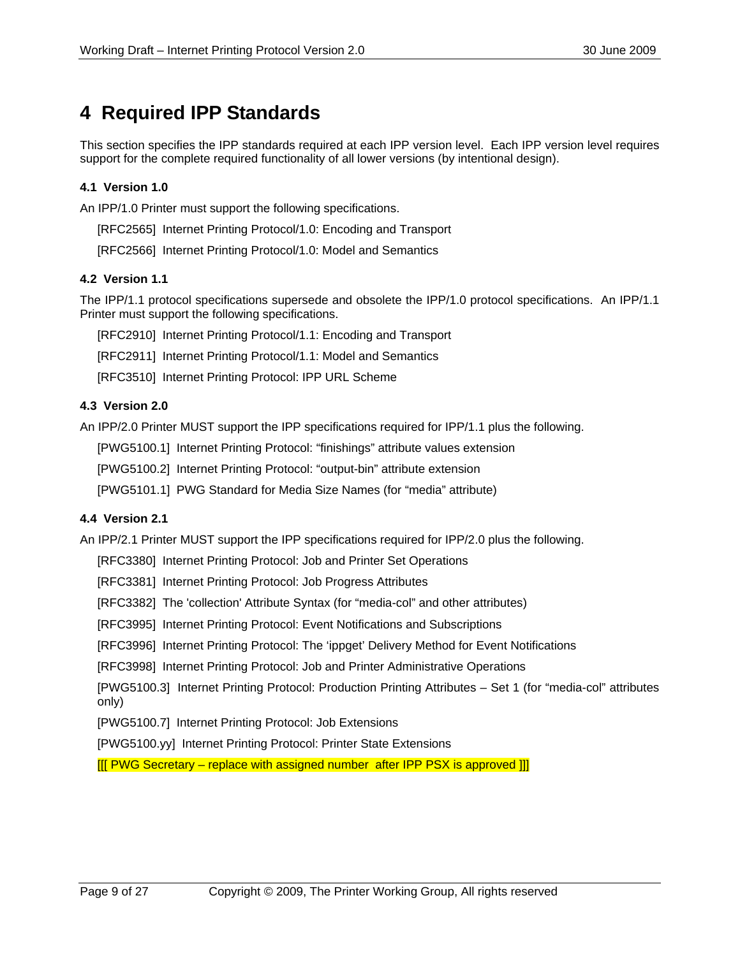## **4 Required IPP Standards**

This section specifies the IPP standards required at each IPP version level. Each IPP version level requires support for the complete required functionality of all lower versions (by intentional design).

#### **4.1 Version 1.0**

An IPP/1.0 Printer must support the following specifications.

[RFC2565] Internet Printing Protocol/1.0: Encoding and Transport

[RFC2566] Internet Printing Protocol/1.0: Model and Semantics

#### **4.2 Version 1.1**

The IPP/1.1 protocol specifications supersede and obsolete the IPP/1.0 protocol specifications. An IPP/1.1 Printer must support the following specifications.

[RFC2910] Internet Printing Protocol/1.1: Encoding and Transport

[RFC2911] Internet Printing Protocol/1.1: Model and Semantics

[RFC3510] Internet Printing Protocol: IPP URL Scheme

#### **4.3 Version 2.0**

An IPP/2.0 Printer MUST support the IPP specifications required for IPP/1.1 plus the following.

[PWG5100.1] Internet Printing Protocol: "finishings" attribute values extension

[PWG5100.2] Internet Printing Protocol: "output-bin" attribute extension

[PWG5101.1] PWG Standard for Media Size Names (for "media" attribute)

#### **4.4 Version 2.1**

An IPP/2.1 Printer MUST support the IPP specifications required for IPP/2.0 plus the following.

[RFC3380] Internet Printing Protocol: Job and Printer Set Operations

[RFC3381] Internet Printing Protocol: Job Progress Attributes

[RFC3382] The 'collection' Attribute Syntax (for "media-col" and other attributes)

[RFC3995] Internet Printing Protocol: Event Notifications and Subscriptions

[RFC3996] Internet Printing Protocol: The 'ippget' Delivery Method for Event Notifications

[RFC3998] Internet Printing Protocol: Job and Printer Administrative Operations

[PWG5100.3] Internet Printing Protocol: Production Printing Attributes – Set 1 (for "media-col" attributes only)

[PWG5100.7] Internet Printing Protocol: Job Extensions

[PWG5100.yy] Internet Printing Protocol: Printer State Extensions

[[[ PWG Secretary – replace with assigned number after IPP PSX is approved ]]]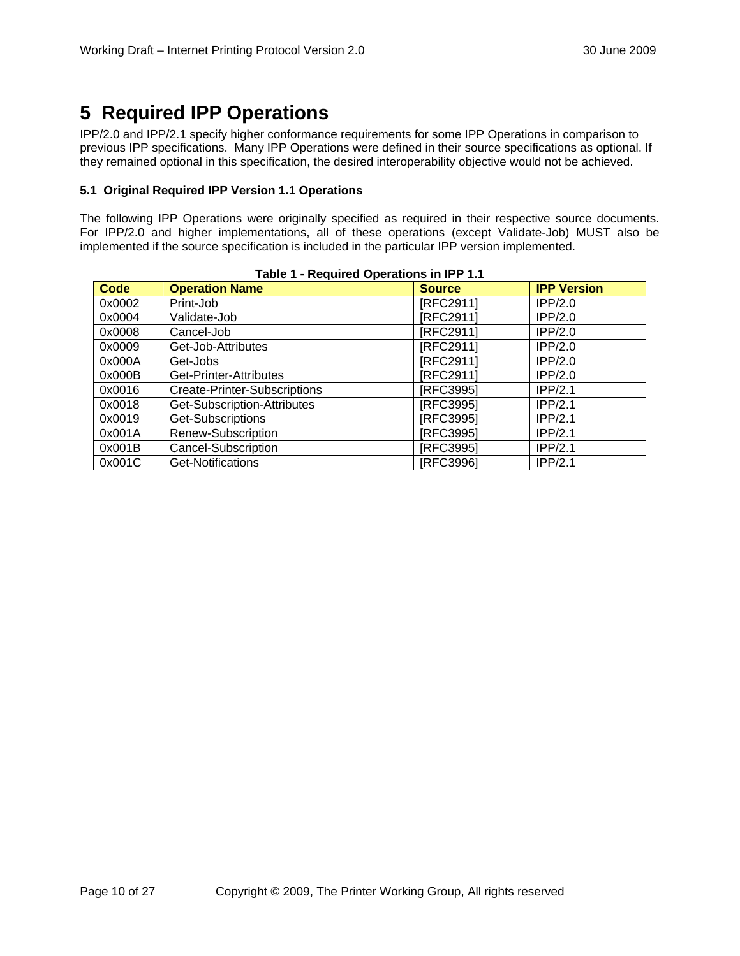## **5 Required IPP Operations**

IPP/2.0 and IPP/2.1 specify higher conformance requirements for some IPP Operations in comparison to previous IPP specifications. Many IPP Operations were defined in their source specifications as optional. If they remained optional in this specification, the desired interoperability objective would not be achieved.

#### **5.1 Original Required IPP Version 1.1 Operations**

The following IPP Operations were originally specified as required in their respective source documents. For IPP/2.0 and higher implementations, all of these operations (except Validate-Job) MUST also be implemented if the source specification is included in the particular IPP version implemented.

| <b>Code</b> | Table 1 - Required Operations in IPP 1.1<br><b>Operation Name</b> | <b>Source</b> | <b>IPP Version</b> |
|-------------|-------------------------------------------------------------------|---------------|--------------------|
| 0x0002      | Print-Job                                                         | [RFC2911]     | IPP/2.0            |
| 0x0004      | Validate-Job                                                      | [RFC2911]     | IPP/2.0            |
| 0x0008      | Cancel-Job                                                        | [RFC2911]     | IPP/2.0            |
| 0x0009      | Get-Job-Attributes                                                | [RFC2911]     | IPP/2.0            |
| 0x000A      | Get-Jobs                                                          | [RFC2911]     | IPP/2.0            |
| 0x000B      | Get-Printer-Attributes                                            | [RFC2911]     | IPP/2.0            |
| 0x0016      | Create-Printer-Subscriptions                                      | [RFC3995]     | IPP/2.1            |
| 0x0018      | Get-Subscription-Attributes                                       | [RFC3995]     | IPP/2.1            |
| 0x0019      | Get-Subscriptions                                                 | [RFC3995]     | IPP/2.1            |
| 0x001A      | Renew-Subscription                                                | [RFC3995]     | IPP/2.1            |
| 0x001B      | Cancel-Subscription                                               | [RFC3995]     | IPP/2.1            |
| 0x001C      | Get-Notifications                                                 | [RFC3996]     | IPP/2.1            |

|  | Table 1 - Required Operations in IPP 1.1 |  |
|--|------------------------------------------|--|
|--|------------------------------------------|--|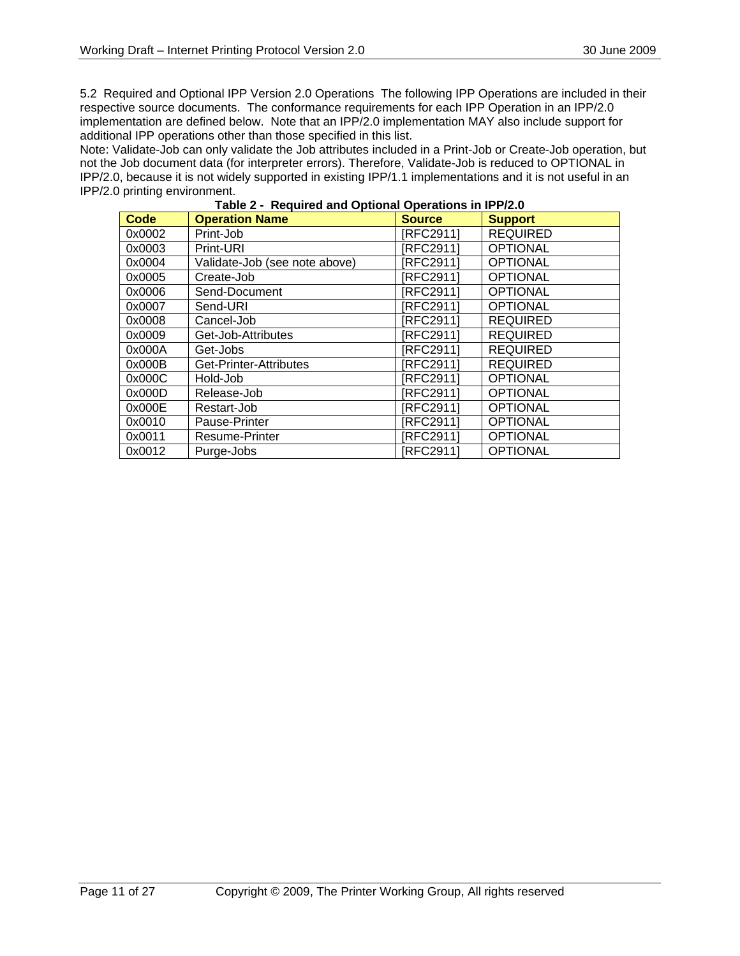5.2 Required and Optional IPP Version 2.0 Operations The following IPP Operations are included in their respective source documents. The conformance requirements for each IPP Operation in an IPP/2.0 implementation are defined below. Note that an IPP/2.0 implementation MAY also include support for additional IPP operations other than those specified in this list.

Note: Validate-Job can only validate the Job attributes included in a Print-Job or Create-Job operation, but not the Job document data (for interpreter errors). Therefore, Validate-Job is reduced to OPTIONAL in IPP/2.0, because it is not widely supported in existing IPP/1.1 implementations and it is not useful in an **IPP/2.0 printing environment.** 

| rable 2 - Required and Optional Operations in IPP/2.0 |                               |                  |                 |  |
|-------------------------------------------------------|-------------------------------|------------------|-----------------|--|
| <b>Code</b>                                           | <b>Operation Name</b>         | <b>Source</b>    | <b>Support</b>  |  |
| 0x0002                                                | Print-Job                     | [RFC2911]        | <b>REQUIRED</b> |  |
| 0x0003                                                | Print-URI                     | [RFC2911]        | <b>OPTIONAL</b> |  |
| 0x0004                                                | Validate-Job (see note above) | [RFC2911]        | <b>OPTIONAL</b> |  |
| 0x0005                                                | Create-Job                    | [RFC2911]        | <b>OPTIONAL</b> |  |
| 0x0006                                                | Send-Document                 | [RFC2911]        | <b>OPTIONAL</b> |  |
| 0x0007                                                | Send-URI                      | <b>IRFC29111</b> | <b>OPTIONAL</b> |  |
| 0x0008                                                | Cancel-Job                    | [RFC2911]        | <b>REQUIRED</b> |  |
| 0x0009                                                | Get-Job-Attributes            | [RFC2911]        | <b>REQUIRED</b> |  |
| 0x000A                                                | Get-Jobs                      | [RFC2911]        | <b>REQUIRED</b> |  |
| 0x000B                                                | Get-Printer-Attributes        | [RFC2911]        | <b>REQUIRED</b> |  |
| 0x000C                                                | Hold-Job                      | [RFC2911]        | <b>OPTIONAL</b> |  |
| 0x000D                                                | Release-Job                   | [RFC2911]        | <b>OPTIONAL</b> |  |
| 0x000E                                                | Restart-Job                   | [RFC2911]        | <b>OPTIONAL</b> |  |
| 0x0010                                                | Pause-Printer                 | [RFC2911]        | <b>OPTIONAL</b> |  |
| 0x0011                                                | <b>Resume-Printer</b>         | [RFC2911]        | <b>OPTIONAL</b> |  |
| 0x0012                                                | Purge-Jobs                    | [RFC2911]        | <b>OPTIONAL</b> |  |

**Table 2 - Required and Optional Operations in IPP/2.0**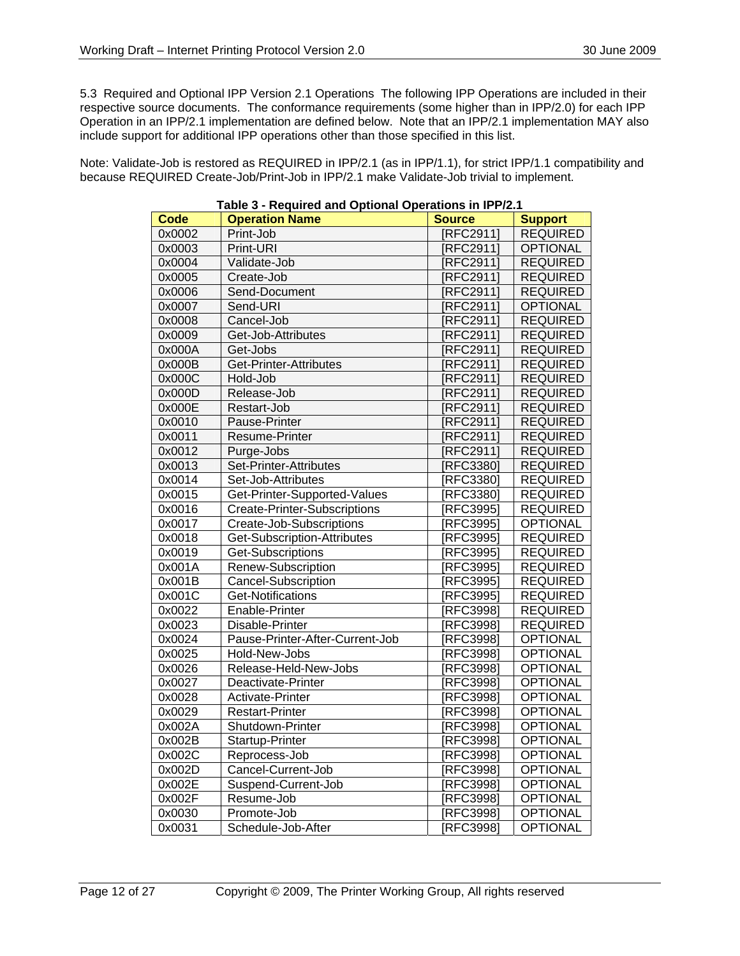5.3 Required and Optional IPP Version 2.1 Operations The following IPP Operations are included in their respective source documents. The conformance requirements (some higher than in IPP/2.0) for each IPP Operation in an IPP/2.1 implementation are defined below. Note that an IPP/2.1 implementation MAY also include support for additional IPP operations other than those specified in this list.

Note: Validate-Job is restored as REQUIRED in IPP/2.1 (as in IPP/1.1), for strict IPP/1.1 compatibility and because REQUIRED Create-Job/Print-Job in IPP/2.1 make Validate-Job trivial to implement.

|        | rable 5 - Required and Optional Operations in it rz. r |                |                 |
|--------|--------------------------------------------------------|----------------|-----------------|
| Code   | <b>Operation Name</b>                                  | <b>Source</b>  | <b>Support</b>  |
| 0x0002 | Print-Job                                              | [RFC2911]      | <b>REQUIRED</b> |
| 0x0003 | Print-URI                                              | [RFC2911]      | <b>OPTIONAL</b> |
| 0x0004 | Validate-Job                                           | [RFC2911]      | <b>REQUIRED</b> |
| 0x0005 | Create-Job                                             | <b>RFC2911</b> | <b>REQUIRED</b> |
| 0x0006 | Send-Document                                          | [RFC2911]      | <b>REQUIRED</b> |
| 0x0007 | Send-URI                                               | <b>RFC2911</b> | <b>OPTIONAL</b> |
| 0x0008 | Cancel-Job                                             | <b>RFC2911</b> | <b>REQUIRED</b> |
| 0x0009 | Get-Job-Attributes                                     | [RFC2911]      | <b>REQUIRED</b> |
| 0x000A | Get-Jobs                                               | [RFC2911]      | <b>REQUIRED</b> |
| 0x000B | Get-Printer-Attributes                                 | <b>RFC2911</b> | <b>REQUIRED</b> |
| 0x000C | Hold-Job                                               | [RFC2911]      | <b>REQUIRED</b> |
| 0x000D | Release-Job                                            | [RFC2911]      | <b>REQUIRED</b> |
| 0x000E | Restart-Job                                            | <b>RFC2911</b> | <b>REQUIRED</b> |
| 0x0010 | Pause-Printer                                          | [RFC2911]      | <b>REQUIRED</b> |
| 0x0011 | Resume-Printer                                         | <b>RFC2911</b> | <b>REQUIRED</b> |
| 0x0012 | Purge-Jobs                                             | [REC2911]      | <b>REQUIRED</b> |
| 0x0013 | Set-Printer-Attributes                                 | <b>RFC3380</b> | <b>REQUIRED</b> |
| 0x0014 | Set-Job-Attributes                                     | [RFC3380]      | <b>REQUIRED</b> |
| 0x0015 | Get-Printer-Supported-Values                           | [RFC3380]      | <b>REQUIRED</b> |
| 0x0016 | <b>Create-Printer-Subscriptions</b>                    | [RFC3995]      | <b>REQUIRED</b> |
| 0x0017 | Create-Job-Subscriptions                               | [RFC3995]      | <b>OPTIONAL</b> |
| 0x0018 | Get-Subscription-Attributes                            | [RFC3995]      | <b>REQUIRED</b> |
| 0x0019 | Get-Subscriptions                                      | [RFC3995]      | <b>REQUIRED</b> |
| 0x001A | Renew-Subscription                                     | [RFC3995]      | <b>REQUIRED</b> |
| 0x001B | <b>Cancel-Subscription</b>                             | [RFC3995]      | <b>REQUIRED</b> |
| 0x001C | Get-Notifications                                      | [RFC3995]      | <b>REQUIRED</b> |
| 0x0022 | Enable-Printer                                         | [RFC3998]      | <b>REQUIRED</b> |
| 0x0023 | Disable-Printer                                        | [RFC3998]      | <b>REQUIRED</b> |
| 0x0024 | Pause-Printer-After-Current-Job                        | [RFC3998]      | OPTIONAL        |
| 0x0025 | Hold-New-Jobs                                          | [RFC3998]      | <b>OPTIONAL</b> |
| 0x0026 | Release-Held-New-Jobs                                  | [RFC3998]      | <b>OPTIONAL</b> |
| 0x0027 | Deactivate-Printer                                     | [RFC3998]      | <b>OPTIONAL</b> |
| 0x0028 | Activate-Printer                                       | [RFC3998]      | <b>OPTIONAL</b> |
| 0x0029 | <b>Restart-Printer</b>                                 | [RFC3998]      | <b>OPTIONAL</b> |
| 0x002A | Shutdown-Printer                                       | [RFC3998]      | <b>OPTIONAL</b> |
| 0x002B | Startup-Printer                                        | [RFC3998]      | <b>OPTIONAL</b> |
| 0x002C | Reprocess-Job                                          | [RFC3998]      | <b>OPTIONAL</b> |
| 0x002D | Cancel-Current-Job                                     | [RFC3998]      | <b>OPTIONAL</b> |
| 0x002E | Suspend-Current-Job                                    | [RFC3998]      | <b>OPTIONAL</b> |
| 0x002F | Resume-Job                                             | [RFC3998]      | OPTIONAL        |
| 0x0030 | Promote-Job                                            | [RFC3998]      | <b>OPTIONAL</b> |
| 0x0031 | Schedule-Job-After                                     | [RFC3998]      | <b>OPTIONAL</b> |

#### **Table 3 - Required and Optional Operations in IPP/2.1**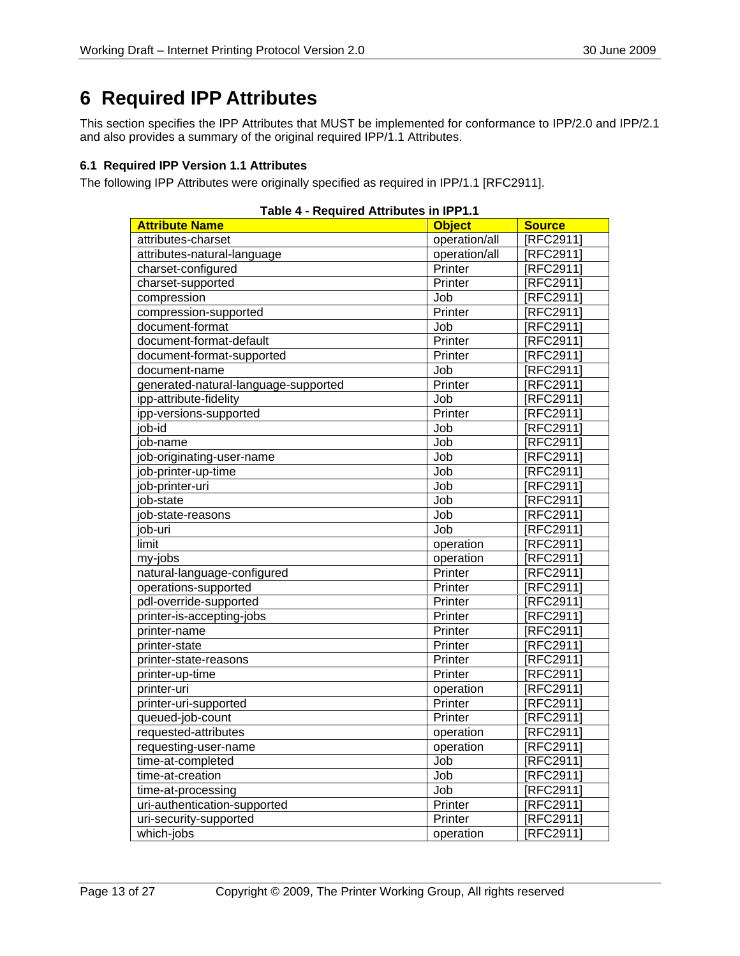## **6 Required IPP Attributes**

This section specifies the IPP Attributes that MUST be implemented for conformance to IPP/2.0 and IPP/2.1 and also provides a summary of the original required IPP/1.1 Attributes.

### **6.1 Required IPP Version 1.1 Attributes**

The following IPP Attributes were originally specified as required in IPP/1.1 [RFC2911].

| Table 4 - Required Attributes in IPP I.T |               |                |  |
|------------------------------------------|---------------|----------------|--|
| <b>Attribute Name</b>                    | <b>Object</b> | <b>Source</b>  |  |
| attributes-charset                       | operation/all | [RFC2911]      |  |
| attributes-natural-language              | operation/all | [RFC2911]      |  |
| charset-configured                       | Printer       | [RFC2911]      |  |
| charset-supported                        | Printer       | [RFC2911]      |  |
| compression                              | Job           | [RFC2911]      |  |
| compression-supported                    | Printer       | [RFC2911]      |  |
| document-format                          | Job           | [RFC2911]      |  |
| document-format-default                  | Printer       | [RFC2911]      |  |
| document-format-supported                | Printer       | [RFC2911]      |  |
| document-name                            | Job           | [RFC2911]      |  |
| generated-natural-language-supported     | Printer       | <b>RFC2911</b> |  |
| ipp-attribute-fidelity                   | Job           | [RFC2911]      |  |
| ipp-versions-supported                   | Printer       | [RFC2911]      |  |
| job-id                                   | Job           | [RFC2911]      |  |
| job-name                                 | Job           | [RFC2911]      |  |
| job-originating-user-name                | Job           | <b>RFC2911</b> |  |
| job-printer-up-time                      | Job           | [RFC2911]      |  |
| job-printer-uri                          | Job           | [RFC2911]      |  |
| job-state                                | Job           | [RFC2911]      |  |
| job-state-reasons                        | Job           | [RFC2911]      |  |
| job-uri                                  | Job           | [RFC2911]      |  |
| limit                                    | operation     | [RFC2911]      |  |
| my-jobs                                  | operation     | [RFC2911]      |  |
| natural-language-configured              | Printer       | [RFC2911]      |  |
| operations-supported                     | Printer       | <b>RFC2911</b> |  |
| pdl-override-supported                   | Printer       | [RFC2911]      |  |
| printer-is-accepting-jobs                | Printer       | [RFC2911]      |  |
| printer-name                             | Printer       | [RFC2911]      |  |
| printer-state                            | Printer       | [RFC2911]      |  |
| printer-state-reasons                    | Printer       | [RFC2911]      |  |
| printer-up-time                          | Printer       | [RFC2911]      |  |
| printer-uri                              | operation     | [RFC2911]      |  |
| printer-uri-supported                    | Printer       | [RFC2911]      |  |
| queued-job-count                         | Printer       | [RFC2911]      |  |
| requested-attributes                     | operation     | [RFC2911]      |  |
| requesting-user-name                     | operation     | [RFC2911]      |  |
| time-at-completed                        | Job           | [RFC2911]      |  |
| time-at-creation                         | Job           | [RFC2911]      |  |
| time-at-processing                       | Job           | [RFC2911]      |  |
| uri-authentication-supported             | Printer       | <b>RFC2911</b> |  |
| uri-security-supported                   | Printer       | [RFC2911]      |  |
| which-jobs                               | operation     | [RFC2911]      |  |

### **Table 4 - Required Attributes in IPP1.1**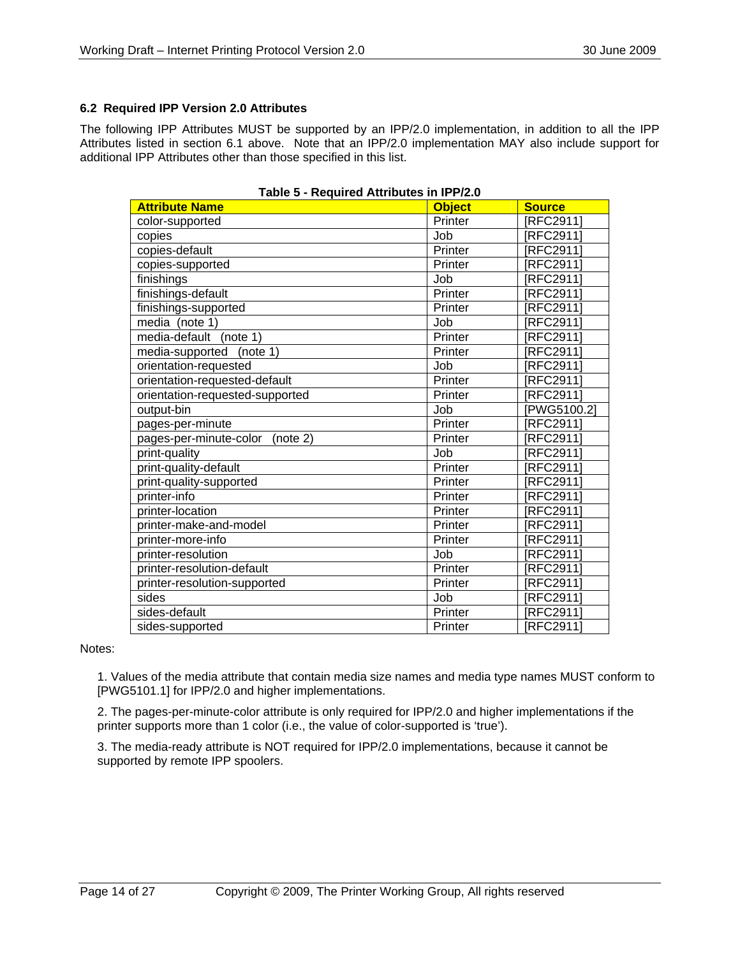### **6.2 Required IPP Version 2.0 Attributes**

The following IPP Attributes MUST be supported by an IPP/2.0 implementation, in addition to all the IPP Attributes listed in section 6.1 above. Note that an IPP/2.0 implementation MAY also include support for additional IPP Attributes other than those specified in this list.

| <b>Attribute Name</b>              | <b>Object</b> | <b>Source</b> |
|------------------------------------|---------------|---------------|
| color-supported                    | Printer       | [RFC2911]     |
| copies                             | Job           | [RFC2911]     |
| copies-default                     | Printer       | [RFC2911]     |
| copies-supported                   | Printer       | [RFC2911]     |
| finishings                         | Job           | [RFC2911]     |
| finishings-default                 | Printer       | [RFC2911]     |
| finishings-supported               | Printer       | [RFC2911]     |
| media (note 1)                     | Job           | [RFC2911]     |
| media-default<br>(note 1)          | Printer       | [RFC2911]     |
| (note 1)<br>media-supported        | Printer       | [RFC2911]     |
| orientation-requested              | Job           | [RFC2911]     |
| orientation-requested-default      | Printer       | [RFC2911]     |
| orientation-requested-supported    | Printer       | [RFC2911]     |
| output-bin                         | Job           | [PWG5100.2]   |
| pages-per-minute                   | Printer       | [RFC2911]     |
| pages-per-minute-color<br>(note 2) | Printer       | [RFC2911]     |
| print-quality                      | Job           | [RFC2911]     |
| print-quality-default              | Printer       | [RFC2911]     |
| print-quality-supported            | Printer       | [RFC2911]     |
| printer-info                       | Printer       | [RFC2911]     |
| printer-location                   | Printer       | [RFC2911]     |
| printer-make-and-model             | Printer       | [RFC2911]     |
| printer-more-info                  | Printer       | [RFC2911]     |
| printer-resolution                 | Job           | [RFC2911]     |
| printer-resolution-default         | Printer       | [RFC2911]     |
| printer-resolution-supported       | Printer       | [RFC2911]     |
| sides                              | Job           | [RFC2911]     |
| sides-default                      | Printer       | [RFC2911]     |
| sides-supported                    | Printer       | [RFC2911]     |

#### **Table 5 - Required Attributes in IPP/2.0**

Notes:

1. Values of the media attribute that contain media size names and media type names MUST conform to [PWG5101.1] for IPP/2.0 and higher implementations.

2. The pages-per-minute-color attribute is only required for IPP/2.0 and higher implementations if the printer supports more than 1 color (i.e., the value of color-supported is 'true').

3. The media-ready attribute is NOT required for IPP/2.0 implementations, because it cannot be supported by remote IPP spoolers.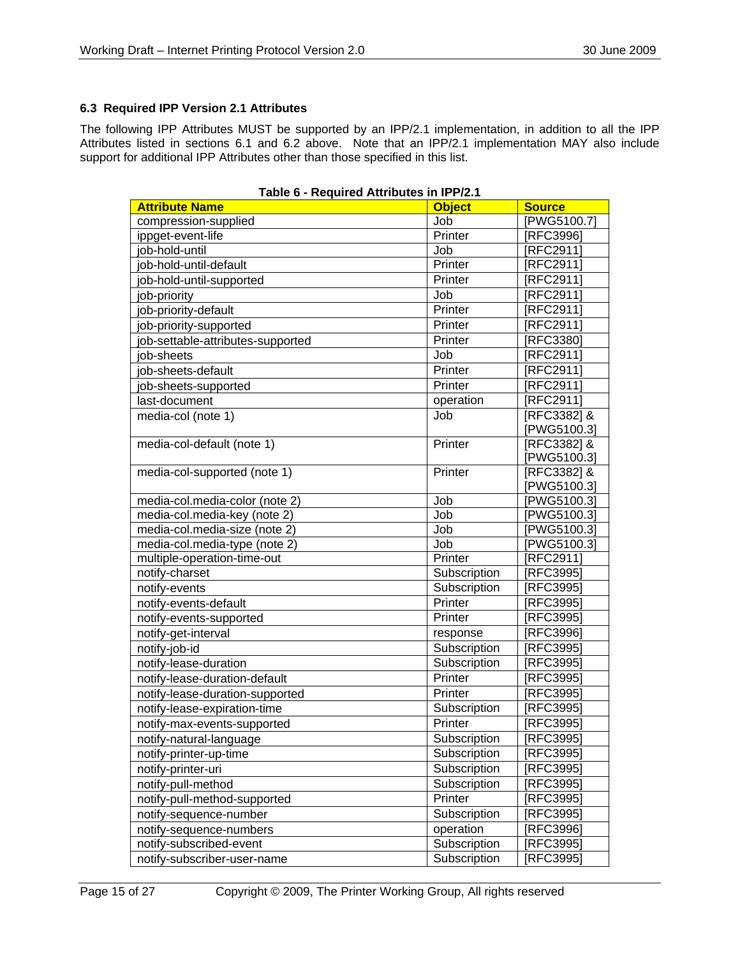### **6.3 Required IPP Version 2.1 Attributes**

The following IPP Attributes MUST be supported by an IPP/2.1 implementation, in addition to all the IPP Attributes listed in sections 6.1 and 6.2 above. Note that an IPP/2.1 implementation MAY also include support for additional IPP Attributes other than those specified in this list.

| rable o - Regulieu Attributes III IFF/2. I |               |                  |
|--------------------------------------------|---------------|------------------|
| <b>Attribute Name</b>                      | <b>Object</b> | <b>Source</b>    |
| compression-supplied                       | Job           | [PWG5100.7]      |
| ippget-event-life                          | Printer       | [RFC3996]        |
| job-hold-until                             | Job           | [RFC2911]        |
| job-hold-until-default                     | Printer       | [RFC2911]        |
| job-hold-until-supported                   | Printer       | [RFC2911]        |
| job-priority                               | Job           | [RFC2911]        |
| job-priority-default                       | Printer       | [RFC2911]        |
| job-priority-supported                     | Printer       | [RFC2911]        |
| job-settable-attributes-supported          | Printer       | [RFC3380]        |
| iob-sheets                                 | Job           | [RFC2911]        |
| job-sheets-default                         | Printer       | [RFC2911]        |
| job-sheets-supported                       | Printer       | [RFC2911]        |
| last-document                              | operation     | [RFC2911]        |
| media-col (note 1)                         | Job           | [RFC3382] &      |
|                                            |               | [PWG5100.3]      |
| media-col-default (note 1)                 | Printer       | [RFC3382] &      |
|                                            |               | [PWG5100.3]      |
| media-col-supported (note 1)               | Printer       | [RFC3382] &      |
|                                            |               | [PWG5100.3]      |
| media-col.media-color (note 2)             | Job           | [PWG5100.3]      |
| media-col.media-key (note 2)               | Job           | [PWG5100.3]      |
| media-col.media-size (note 2)              | Job           | [PWG5100.3]      |
| media-col.media-type (note 2)              | Job           | [PWG5100.3]      |
| multiple-operation-time-out                | Printer       | [RFC2911]        |
| notify-charset                             | Subscription  | <b>IRFC39951</b> |
| notify-events                              | Subscription  | [RFC3995]        |
| notify-events-default                      | Printer       | [RFC3995]        |
| notify-events-supported                    | Printer       | <b>IRFC39951</b> |
| notify-get-interval                        | response      | [RFC3996]        |
| notify-job-id                              | Subscription  | [RFC3995]        |
| notify-lease-duration                      | Subscription  | [RFC3995]        |
| notify-lease-duration-default              | Printer       | [RFC3995]        |
| notify-lease-duration-supported            | Printer       | [RFC3995]        |
| notify-lease-expiration-time               | Subscription  | [RFC3995]        |
| notify-max-events-supported                | Printer       | [RFC3995]        |
| notify-natural-language                    | Subscription  | [RFC3995]        |
| notify-printer-up-time                     | Subscription  | [RFC3995]        |
| notify-printer-uri                         | Subscription  | [RFC3995]        |
| notify-pull-method                         | Subscription  | [RFC3995]        |
| notify-pull-method-supported               | Printer       | [RFC3995]        |
| notify-sequence-number                     | Subscription  | [RFC3995]        |
| notify-sequence-numbers                    | operation     | [RFC3996]        |
| notify-subscribed-event                    | Subscription  | [RFC3995]        |
| notify-subscriber-user-name                | Subscription  | [RFC3995]        |

#### **Table 6 - Required Attributes in IPP/2.1**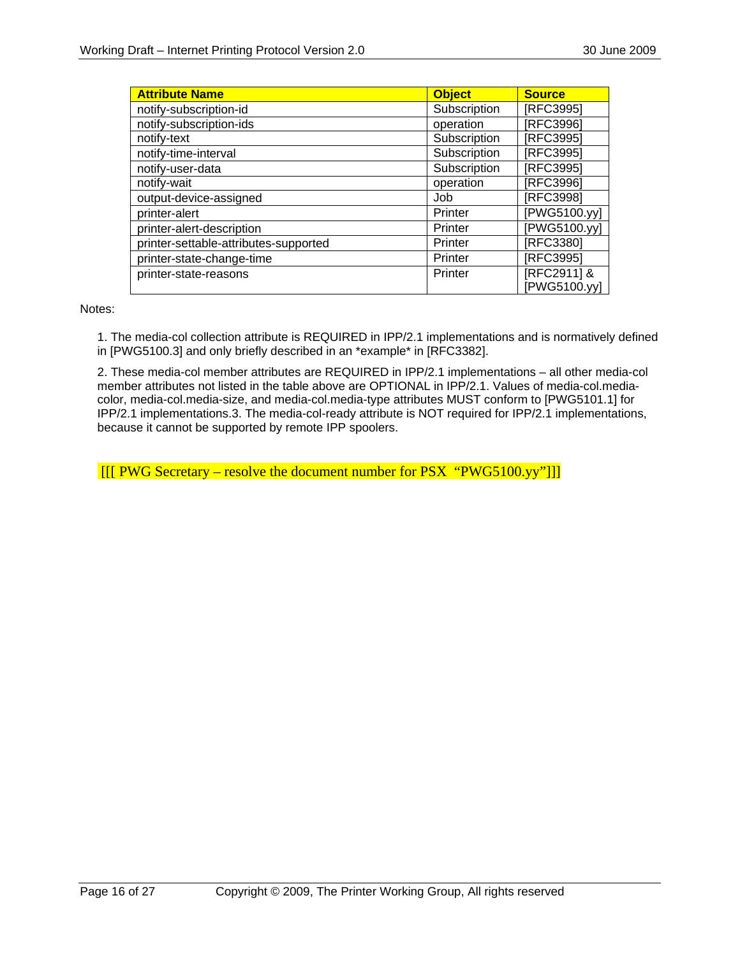| <b>Attribute Name</b>                 | <b>Object</b> | <b>Source</b>               |
|---------------------------------------|---------------|-----------------------------|
| notify-subscription-id                | Subscription  | [RFC3995]                   |
| notify-subscription-ids               | operation     | [RFC3996]                   |
| notify-text                           | Subscription  | [RFC3995]                   |
| notify-time-interval                  | Subscription  | [RFC3995]                   |
| notify-user-data                      | Subscription  | [RFC3995]                   |
| notify-wait                           | operation     | [RFC3996]                   |
| output-device-assigned                | Job           | [RFC3998]                   |
| printer-alert                         | Printer       | [PWG5100.yy]                |
| printer-alert-description             | Printer       | [PWG5100.yy]                |
| printer-settable-attributes-supported | Printer       | [RFC3380]                   |
| printer-state-change-time             | Printer       | [RFC3995]                   |
| printer-state-reasons                 | Printer       | [RFC2911] &<br>[PWG5100.yy] |

Notes:

1. The media-col collection attribute is REQUIRED in IPP/2.1 implementations and is normatively defined in [PWG5100.3] and only briefly described in an \*example\* in [RFC3382].

2. These media-col member attributes are REQUIRED in IPP/2.1 implementations – all other media-col member attributes not listed in the table above are OPTIONAL in IPP/2.1. Values of media-col.mediacolor, media-col.media-size, and media-col.media-type attributes MUST conform to [PWG5101.1] for IPP/2.1 implementations.3. The media-col-ready attribute is NOT required for IPP/2.1 implementations, because it cannot be supported by remote IPP spoolers.

 $\frac{1}{2}$  [[[ PWG Secretary – resolve the document number for PSX "PWG5100.yy"]]]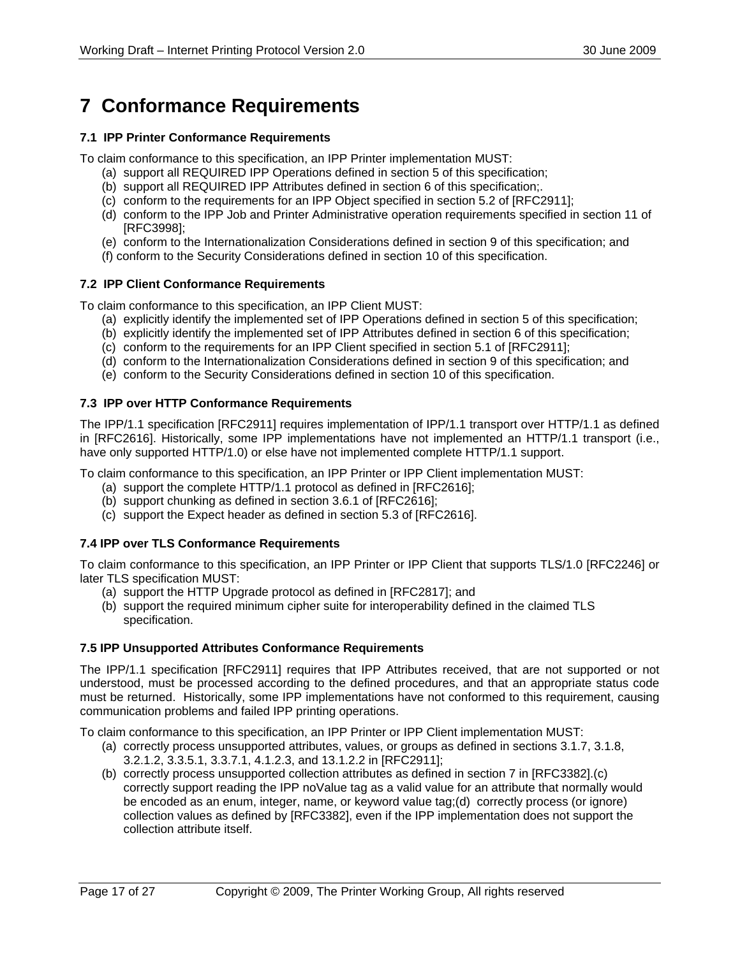## **7 Conformance Requirements**

#### **7.1 IPP Printer Conformance Requirements**

To claim conformance to this specification, an IPP Printer implementation MUST:

- (a) support all REQUIRED IPP Operations defined in section 5 of this specification;
- (b) support all REQUIRED IPP Attributes defined in section 6 of this specification;.
- (c) conform to the requirements for an IPP Object specified in section 5.2 of [RFC2911];
- (d) conform to the IPP Job and Printer Administrative operation requirements specified in section 11 of [RFC3998];
- (e) conform to the Internationalization Considerations defined in section 9 of this specification; and
- (f) conform to the Security Considerations defined in section 10 of this specification.

#### **7.2 IPP Client Conformance Requirements**

To claim conformance to this specification, an IPP Client MUST:

- (a) explicitly identify the implemented set of IPP Operations defined in section 5 of this specification;
- (b) explicitly identify the implemented set of IPP Attributes defined in section 6 of this specification;
- (c) conform to the requirements for an IPP Client specified in section 5.1 of [RFC2911];
- (d) conform to the Internationalization Considerations defined in section 9 of this specification; and
- (e) conform to the Security Considerations defined in section 10 of this specification.

#### **7.3 IPP over HTTP Conformance Requirements**

The IPP/1.1 specification [RFC2911] requires implementation of IPP/1.1 transport over HTTP/1.1 as defined in [RFC2616]. Historically, some IPP implementations have not implemented an HTTP/1.1 transport (i.e., have only supported HTTP/1.0) or else have not implemented complete HTTP/1.1 support.

To claim conformance to this specification, an IPP Printer or IPP Client implementation MUST:

- (a) support the complete HTTP/1.1 protocol as defined in [RFC2616];
- (b) support chunking as defined in section 3.6.1 of [RFC2616];
- (c) support the Expect header as defined in section 5.3 of [RFC2616].

#### **7.4 IPP over TLS Conformance Requirements**

To claim conformance to this specification, an IPP Printer or IPP Client that supports TLS/1.0 [RFC2246] or later TLS specification MUST:

- (a) support the HTTP Upgrade protocol as defined in [RFC2817]; and
- (b) support the required minimum cipher suite for interoperability defined in the claimed TLS specification.

#### **7.5 IPP Unsupported Attributes Conformance Requirements**

The IPP/1.1 specification [RFC2911] requires that IPP Attributes received, that are not supported or not understood, must be processed according to the defined procedures, and that an appropriate status code must be returned. Historically, some IPP implementations have not conformed to this requirement, causing communication problems and failed IPP printing operations.

To claim conformance to this specification, an IPP Printer or IPP Client implementation MUST:

- (a) correctly process unsupported attributes, values, or groups as defined in sections 3.1.7, 3.1.8, 3.2.1.2, 3.3.5.1, 3.3.7.1, 4.1.2.3, and 13.1.2.2 in [RFC2911];
- (b) correctly process unsupported collection attributes as defined in section 7 in [RFC3382].(c) correctly support reading the IPP noValue tag as a valid value for an attribute that normally would be encoded as an enum, integer, name, or keyword value tag;(d) correctly process (or ignore) collection values as defined by [RFC3382], even if the IPP implementation does not support the collection attribute itself.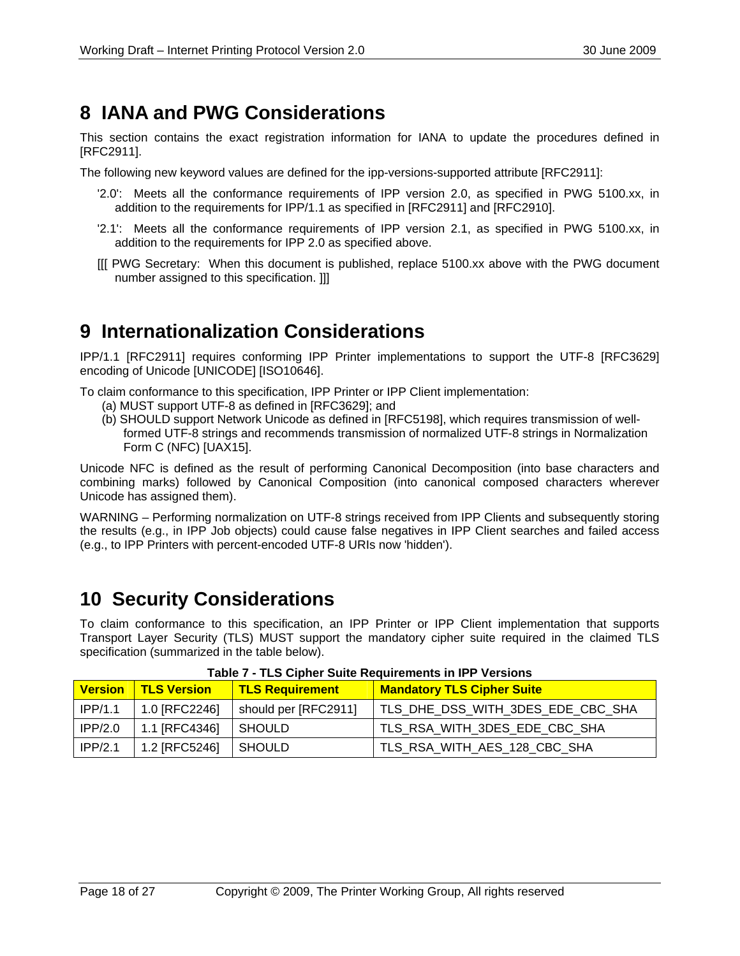## **8 IANA and PWG Considerations**

This section contains the exact registration information for IANA to update the procedures defined in [RFC2911].

The following new keyword values are defined for the ipp-versions-supported attribute [RFC2911]:

- '2.0': Meets all the conformance requirements of IPP version 2.0, as specified in PWG 5100.xx, in addition to the requirements for IPP/1.1 as specified in [RFC2911] and [RFC2910].
- '2.1': Meets all the conformance requirements of IPP version 2.1, as specified in PWG 5100.xx, in addition to the requirements for IPP 2.0 as specified above.
- [[[ PWG Secretary: When this document is published, replace 5100.xx above with the PWG document number assigned to this specification. ]]]

## **9 Internationalization Considerations**

IPP/1.1 [RFC2911] requires conforming IPP Printer implementations to support the UTF-8 [RFC3629] encoding of Unicode [UNICODE] [ISO10646].

To claim conformance to this specification, IPP Printer or IPP Client implementation:

- (a) MUST support UTF-8 as defined in [RFC3629]; and
- (b) SHOULD support Network Unicode as defined in [RFC5198], which requires transmission of wellformed UTF-8 strings and recommends transmission of normalized UTF-8 strings in Normalization Form C (NFC) [UAX15].

Unicode NFC is defined as the result of performing Canonical Decomposition (into base characters and combining marks) followed by Canonical Composition (into canonical composed characters wherever Unicode has assigned them).

WARNING – Performing normalization on UTF-8 strings received from IPP Clients and subsequently storing the results (e.g., in IPP Job objects) could cause false negatives in IPP Client searches and failed access (e.g., to IPP Printers with percent-encoded UTF-8 URIs now 'hidden').

## **10 Security Considerations**

To claim conformance to this specification, an IPP Printer or IPP Client implementation that supports Transport Layer Security (TLS) MUST support the mandatory cipher suite required in the claimed TLS specification (summarized in the table below).

| <b>Version</b> | <b>TLS Version</b> | <b>TLS Requirement</b> | <b>Mandatory TLS Cipher Suite</b> |
|----------------|--------------------|------------------------|-----------------------------------|
| IPP/1.1        | 1.0 [RFC2246]      | should per [RFC2911]   | TLS_DHE_DSS_WITH_3DES_EDE_CBC_SHA |
| $ $ IPP/2.0    | 1.1 [RFC4346]      | <b>SHOULD</b>          | TLS RSA WITH 3DES EDE CBC SHA     |
| IPP/2.1        | 1.2 [RFC5246]      | SHOULD                 | TLS_RSA_WITH_AES_128_CBC_SHA      |

### **Table 7 - TLS Cipher Suite Requirements in IPP Versions**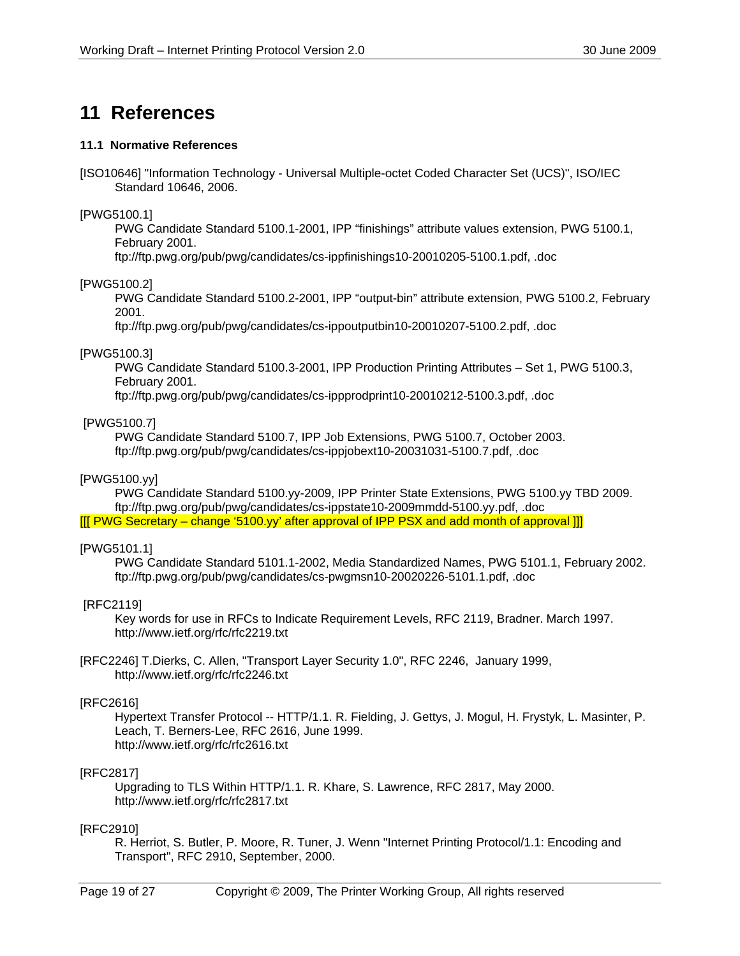## **11 References**

#### **11.1 Normative References**

[ISO10646] "Information Technology - Universal Multiple-octet Coded Character Set (UCS)", ISO/IEC Standard 10646, 2006.

[PWG5100.1]

 PWG Candidate Standard 5100.1-2001, IPP "finishings" attribute values extension, PWG 5100.1, February 2001.

ftp://ftp.pwg.org/pub/pwg/candidates/cs-ippfinishings10-20010205-5100.1.pdf, .doc

[PWG5100.2]

 PWG Candidate Standard 5100.2-2001, IPP "output-bin" attribute extension, PWG 5100.2, February 2001.

ftp://ftp.pwg.org/pub/pwg/candidates/cs-ippoutputbin10-20010207-5100.2.pdf, .doc

#### [PWG5100.3]

PWG Candidate Standard 5100.3-2001, IPP Production Printing Attributes – Set 1, PWG 5100.3, February 2001.

ftp://ftp.pwg.org/pub/pwg/candidates/cs-ippprodprint10-20010212-5100.3.pdf, .doc

#### [PWG5100.7]

 PWG Candidate Standard 5100.7, IPP Job Extensions, PWG 5100.7, October 2003. ftp://ftp.pwg.org/pub/pwg/candidates/cs-ippjobext10-20031031-5100.7.pdf, .doc

#### [PWG5100.yy]

PWG Candidate Standard 5100.yy-2009, IPP Printer State Extensions, PWG 5100.yy TBD 2009. ftp://ftp.pwg.org/pub/pwg/candidates/cs-ippstate10-2009mmdd-5100.yy.pdf, .doc [[[ PWG Secretary – change '5100.yy' after approval of IPP PSX and add month of approval ]]]

#### [PWG5101.1]

 PWG Candidate Standard 5101.1-2002, Media Standardized Names, PWG 5101.1, February 2002. ftp://ftp.pwg.org/pub/pwg/candidates/cs-pwgmsn10-20020226-5101.1.pdf, .doc

#### [RFC2119]

Key words for use in RFCs to Indicate Requirement Levels, RFC 2119, Bradner. March 1997. http://www.ietf.org/rfc/rfc2219.txt

[RFC2246] T.Dierks, C. Allen, "Transport Layer Security 1.0", RFC 2246, January 1999, http://www.ietf.org/rfc/rfc2246.txt

#### [RFC2616]

Hypertext Transfer Protocol -- HTTP/1.1. R. Fielding, J. Gettys, J. Mogul, H. Frystyk, L. Masinter, P. Leach, T. Berners-Lee, RFC 2616, June 1999. http://www.ietf.org/rfc/rfc2616.txt

#### [RFC2817]

Upgrading to TLS Within HTTP/1.1. R. Khare, S. Lawrence, RFC 2817, May 2000. http://www.ietf.org/rfc/rfc2817.txt

#### [RFC2910]

R. Herriot, S. Butler, P. Moore, R. Tuner, J. Wenn "Internet Printing Protocol/1.1: Encoding and Transport", RFC 2910, September, 2000.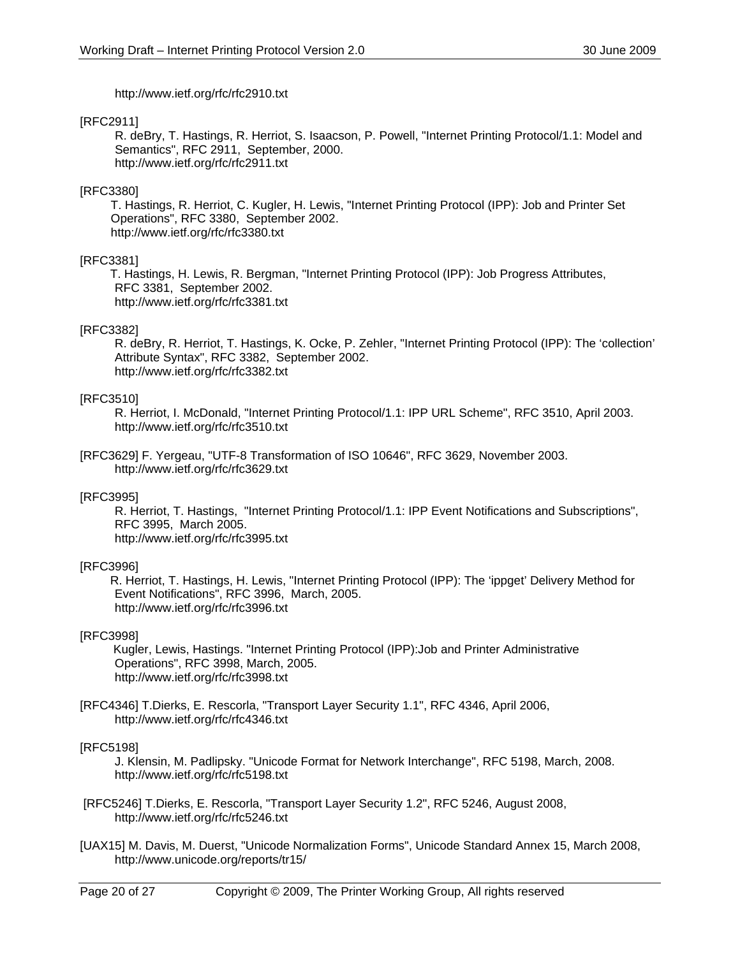http://www.ietf.org/rfc/rfc2910.txt

#### [RFC2911]

R. deBry, T. Hastings, R. Herriot, S. Isaacson, P. Powell, "Internet Printing Protocol/1.1: Model and Semantics", RFC 2911, September, 2000. http://www.ietf.org/rfc/rfc2911.txt

#### [RFC3380]

T. Hastings, R. Herriot, C. Kugler, H. Lewis, "Internet Printing Protocol (IPP): Job and Printer Set Operations", RFC 3380, September 2002. http://www.ietf.org/rfc/rfc3380.txt

#### [RFC3381]

 T. Hastings, H. Lewis, R. Bergman, "Internet Printing Protocol (IPP): Job Progress Attributes, RFC 3381, September 2002. http://www.ietf.org/rfc/rfc3381.txt

#### [RFC3382]

R. deBry, R. Herriot, T. Hastings, K. Ocke, P. Zehler, "Internet Printing Protocol (IPP): The 'collection' Attribute Syntax", RFC 3382, September 2002. http://www.ietf.org/rfc/rfc3382.txt

#### [RFC3510]

R. Herriot, I. McDonald, "Internet Printing Protocol/1.1: IPP URL Scheme", RFC 3510, April 2003. http://www.ietf.org/rfc/rfc3510.txt

[RFC3629] F. Yergeau, "UTF-8 Transformation of ISO 10646", RFC 3629, November 2003. http://www.ietf.org/rfc/rfc3629.txt

#### [RFC3995]

R. Herriot, T. Hastings, "Internet Printing Protocol/1.1: IPP Event Notifications and Subscriptions", RFC 3995, March 2005. http://www.ietf.org/rfc/rfc3995.txt

#### [RFC3996]

 R. Herriot, T. Hastings, H. Lewis, "Internet Printing Protocol (IPP): The 'ippget' Delivery Method for Event Notifications", RFC 3996, March, 2005. http://www.ietf.org/rfc/rfc3996.txt

#### [RFC3998]

 Kugler, Lewis, Hastings. "Internet Printing Protocol (IPP):Job and Printer Administrative Operations", RFC 3998, March, 2005. http://www.ietf.org/rfc/rfc3998.txt

#### [RFC4346] T.Dierks, E. Rescorla, "Transport Layer Security 1.1", RFC 4346, April 2006, http://www.ietf.org/rfc/rfc4346.txt

#### [RFC5198]

J. Klensin, M. Padlipsky. "Unicode Format for Network Interchange", RFC 5198, March, 2008. http://www.ietf.org/rfc/rfc5198.txt

- [RFC5246] T.Dierks, E. Rescorla, "Transport Layer Security 1.2", RFC 5246, August 2008, http://www.ietf.org/rfc/rfc5246.txt
- [UAX15] M. Davis, M. Duerst, "Unicode Normalization Forms", Unicode Standard Annex 15, March 2008, http://www.unicode.org/reports/tr15/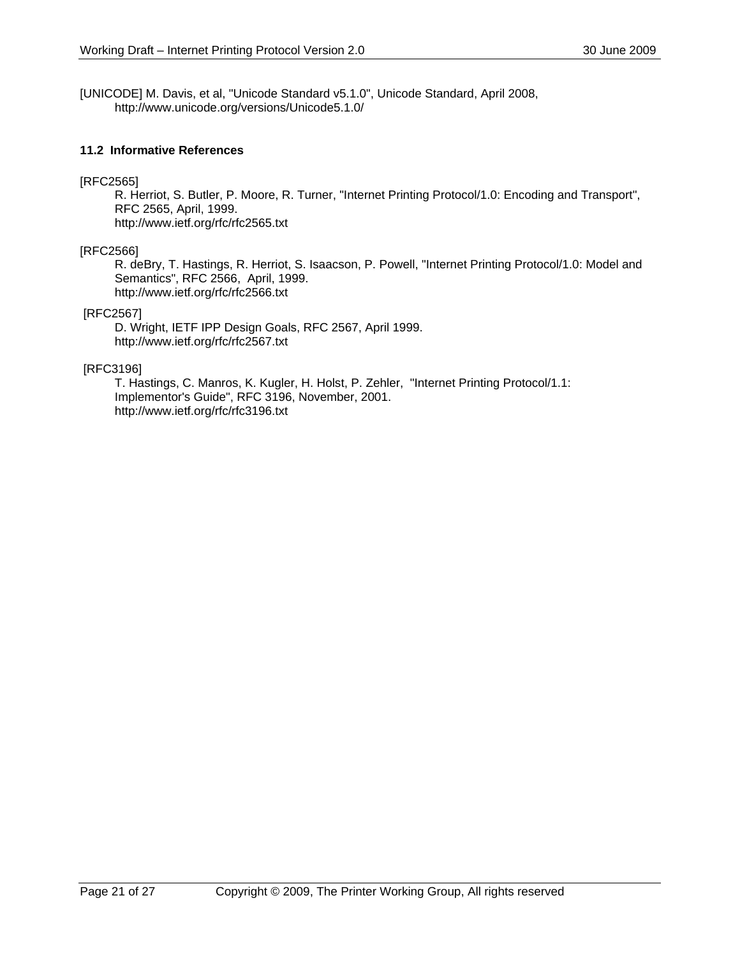[UNICODE] M. Davis, et al, "Unicode Standard v5.1.0", Unicode Standard, April 2008, http://www.unicode.org/versions/Unicode5.1.0/

#### **11.2 Informative References**

#### [RFC2565]

R. Herriot, S. Butler, P. Moore, R. Turner, "Internet Printing Protocol/1.0: Encoding and Transport", RFC 2565, April, 1999. http://www.ietf.org/rfc/rfc2565.txt

#### [RFC2566]

R. deBry, T. Hastings, R. Herriot, S. Isaacson, P. Powell, "Internet Printing Protocol/1.0: Model and Semantics", RFC 2566, April, 1999. http://www.ietf.org/rfc/rfc2566.txt

#### [RFC2567]

D. Wright, IETF IPP Design Goals, RFC 2567, April 1999. http://www.ietf.org/rfc/rfc2567.txt

#### [RFC3196]

T. Hastings, C. Manros, K. Kugler, H. Holst, P. Zehler, "Internet Printing Protocol/1.1: Implementor's Guide", RFC 3196, November, 2001. http://www.ietf.org/rfc/rfc3196.txt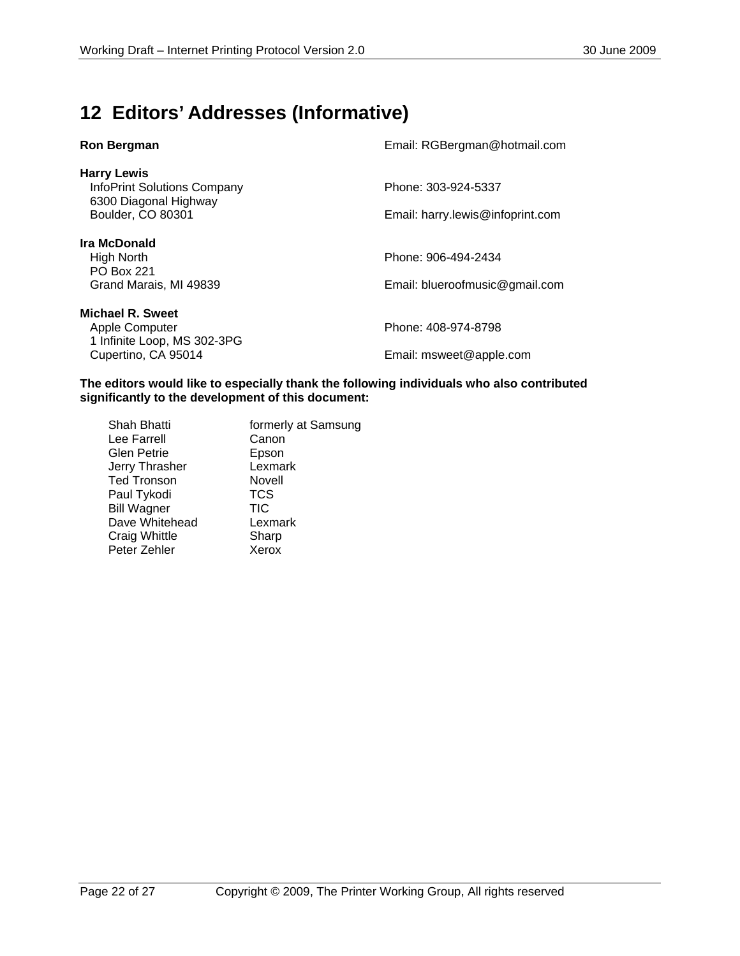## **12 Editors' Addresses (Informative)**

| <b>Ron Bergman</b>                                                                                     | Email: RGBergman@hotmail.com                            |
|--------------------------------------------------------------------------------------------------------|---------------------------------------------------------|
| <b>Harry Lewis</b><br><b>InfoPrint Solutions Company</b><br>6300 Diagonal Highway<br>Boulder, CO 80301 | Phone: 303-924-5337<br>Email: harry.lewis@infoprint.com |
| Ira McDonald<br>High North<br><b>PO Box 221</b><br>Grand Marais, MI 49839                              | Phone: 906-494-2434<br>Email: blueroofmusic@gmail.com   |
| <b>Michael R. Sweet</b><br>Apple Computer<br>1 Infinite Loop, MS 302-3PG<br>Cupertino, CA 95014        | Phone: 408-974-8798<br>Email: msweet@apple.com          |

**The editors would like to especially thank the following individuals who also contributed significantly to the development of this document:** 

| Shah Bhatti        | formerly at Samsung |
|--------------------|---------------------|
| Lee Farrell        | Canon               |
| <b>Glen Petrie</b> | Epson               |
| Jerry Thrasher     | Lexmark             |
| <b>Ted Tronson</b> | Novell              |
| Paul Tykodi        | <b>TCS</b>          |
| <b>Bill Wagner</b> | <b>TIC</b>          |
| Dave Whitehead     | Lexmark             |
| Craig Whittle      | Sharp               |
| Peter Zehler       | Xerox               |
|                    |                     |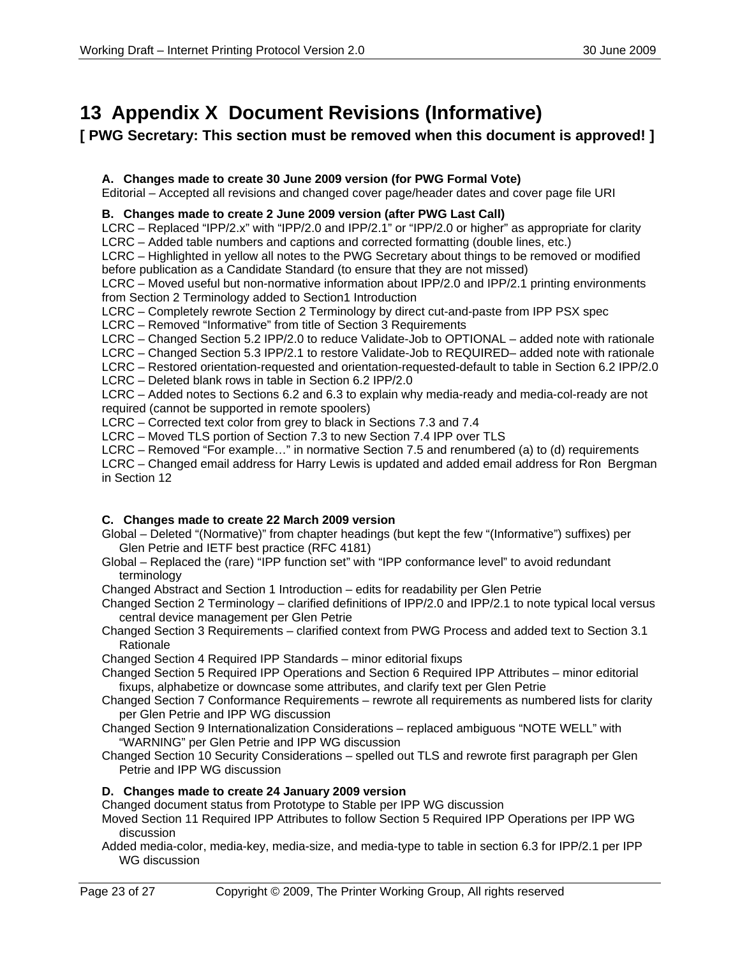## **13 Appendix X Document Revisions (Informative)**

### **[ PWG Secretary: This section must be removed when this document is approved! ]**

### **A. Changes made to create 30 June 2009 version (for PWG Formal Vote)**

Editorial – Accepted all revisions and changed cover page/header dates and cover page file URI

### **B. Changes made to create 2 June 2009 version (after PWG Last Call)**

LCRC – Replaced "IPP/2.x" with "IPP/2.0 and IPP/2.1" or "IPP/2.0 or higher" as appropriate for clarity LCRC – Added table numbers and captions and corrected formatting (double lines, etc.)

LCRC – Highlighted in yellow all notes to the PWG Secretary about things to be removed or modified before publication as a Candidate Standard (to ensure that they are not missed)

LCRC – Moved useful but non-normative information about IPP/2.0 and IPP/2.1 printing environments from Section 2 Terminology added to Section1 Introduction

LCRC – Completely rewrote Section 2 Terminology by direct cut-and-paste from IPP PSX spec

LCRC – Removed "Informative" from title of Section 3 Requirements

- LCRC Changed Section 5.2 IPP/2.0 to reduce Validate-Job to OPTIONAL added note with rationale
- LCRC Changed Section 5.3 IPP/2.1 to restore Validate-Job to REQUIRED– added note with rationale

LCRC – Restored orientation-requested and orientation-requested-default to table in Section 6.2 IPP/2.0

LCRC – Deleted blank rows in table in Section 6.2 IPP/2.0

LCRC – Added notes to Sections 6.2 and 6.3 to explain why media-ready and media-col-ready are not required (cannot be supported in remote spoolers)

LCRC – Corrected text color from grey to black in Sections 7.3 and 7.4

LCRC – Moved TLS portion of Section 7.3 to new Section 7.4 IPP over TLS

LCRC – Removed "For example…" in normative Section 7.5 and renumbered (a) to (d) requirements

LCRC – Changed email address for Harry Lewis is updated and added email address for Ron Bergman in Section 12

### **C. Changes made to create 22 March 2009 version**

- Global Deleted "(Normative)" from chapter headings (but kept the few "(Informative") suffixes) per Glen Petrie and IETF best practice (RFC 4181)
- Global Replaced the (rare) "IPP function set" with "IPP conformance level" to avoid redundant terminology

Changed Abstract and Section 1 Introduction – edits for readability per Glen Petrie

Changed Section 2 Terminology – clarified definitions of IPP/2.0 and IPP/2.1 to note typical local versus central device management per Glen Petrie

Changed Section 3 Requirements – clarified context from PWG Process and added text to Section 3.1 **Rationale** 

Changed Section 4 Required IPP Standards – minor editorial fixups

- Changed Section 5 Required IPP Operations and Section 6 Required IPP Attributes minor editorial fixups, alphabetize or downcase some attributes, and clarify text per Glen Petrie
- Changed Section 7 Conformance Requirements rewrote all requirements as numbered lists for clarity per Glen Petrie and IPP WG discussion

Changed Section 9 Internationalization Considerations – replaced ambiguous "NOTE WELL" with "WARNING" per Glen Petrie and IPP WG discussion

Changed Section 10 Security Considerations – spelled out TLS and rewrote first paragraph per Glen Petrie and IPP WG discussion

### **D. Changes made to create 24 January 2009 version**

Changed document status from Prototype to Stable per IPP WG discussion

- Moved Section 11 Required IPP Attributes to follow Section 5 Required IPP Operations per IPP WG discussion
- Added media-color, media-key, media-size, and media-type to table in section 6.3 for IPP/2.1 per IPP WG discussion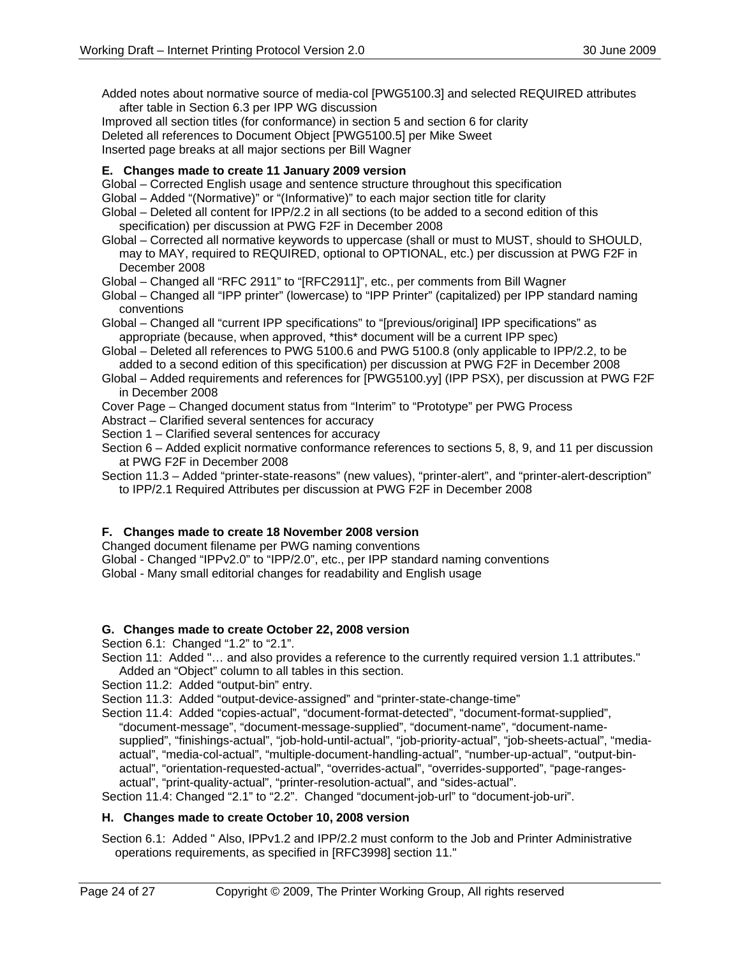Added notes about normative source of media-col [PWG5100.3] and selected REQUIRED attributes after table in Section 6.3 per IPP WG discussion

Improved all section titles (for conformance) in section 5 and section 6 for clarity Deleted all references to Document Object [PWG5100.5] per Mike Sweet Inserted page breaks at all major sections per Bill Wagner

#### **E. Changes made to create 11 January 2009 version**

- Global Corrected English usage and sentence structure throughout this specification
- Global Added "(Normative)" or "(Informative)" to each major section title for clarity
- Global Deleted all content for IPP/2.2 in all sections (to be added to a second edition of this specification) per discussion at PWG F2F in December 2008
- Global Corrected all normative keywords to uppercase (shall or must to MUST, should to SHOULD, may to MAY, required to REQUIRED, optional to OPTIONAL, etc.) per discussion at PWG F2F in December 2008

Global – Changed all "RFC 2911" to "[RFC2911]", etc., per comments from Bill Wagner

- Global Changed all "IPP printer" (lowercase) to "IPP Printer" (capitalized) per IPP standard naming conventions
- Global Changed all "current IPP specifications" to "[previous/original] IPP specifications" as appropriate (because, when approved, \*this\* document will be a current IPP spec)
- Global Deleted all references to PWG 5100.6 and PWG 5100.8 (only applicable to IPP/2.2, to be added to a second edition of this specification) per discussion at PWG F2F in December 2008
- Global Added requirements and references for [PWG5100.yy] (IPP PSX), per discussion at PWG F2F in December 2008
- Cover Page Changed document status from "Interim" to "Prototype" per PWG Process
- Abstract Clarified several sentences for accuracy
- Section 1 Clarified several sentences for accuracy
- Section 6 Added explicit normative conformance references to sections 5, 8, 9, and 11 per discussion at PWG F2F in December 2008
- Section 11.3 Added "printer-state-reasons" (new values), "printer-alert", and "printer-alert-description" to IPP/2.1 Required Attributes per discussion at PWG F2F in December 2008

#### **F. Changes made to create 18 November 2008 version**

Changed document filename per PWG naming conventions

Global - Changed "IPPv2.0" to "IPP/2.0", etc., per IPP standard naming conventions

Global - Many small editorial changes for readability and English usage

#### **G. Changes made to create October 22, 2008 version**

Section 6.1: Changed "1.2" to "2.1".

- Section 11: Added "... and also provides a reference to the currently required version 1.1 attributes." Added an "Object" column to all tables in this section.
- Section 11.2: Added "output-bin" entry.

Section 11.3: Added "output-device-assigned" and "printer-state-change-time"

Section 11.4: Added "copies-actual", "document-format-detected", "document-format-supplied", "document-message", "document-message-supplied", "document-name", "document-namesupplied", "finishings-actual", "job-hold-until-actual", "job-priority-actual", "job-sheets-actual", "mediaactual", "media-col-actual", "multiple-document-handling-actual", "number-up-actual", "output-binactual", "orientation-requested-actual", "overrides-actual", "overrides-supported", "page-rangesactual", "print-quality-actual", "printer-resolution-actual", and "sides-actual".

Section 11.4: Changed "2.1" to "2.2". Changed "document-job-url" to "document-job-uri".

#### **H. Changes made to create October 10, 2008 version**

Section 6.1: Added " Also, IPPv1.2 and IPP/2.2 must conform to the Job and Printer Administrative operations requirements, as specified in [RFC3998] section 11."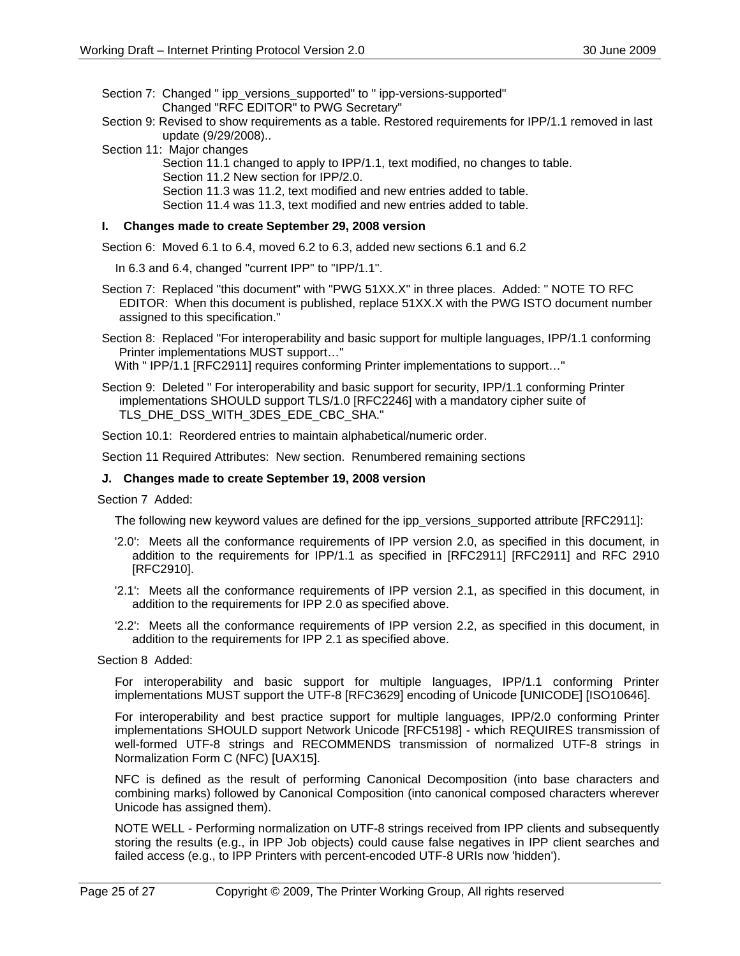Section 7: Changed " ipp\_versions\_supported" to " ipp-versions-supported" Changed "RFC EDITOR" to PWG Secretary"

- Section 9: Revised to show requirements as a table. Restored requirements for IPP/1.1 removed in last update (9/29/2008)..
- Section 11: Major changes
	- Section 11.1 changed to apply to IPP/1.1, text modified, no changes to table.
	- Section 11.2 New section for IPP/2.0.
	- Section 11.3 was 11.2, text modified and new entries added to table.

Section 11.4 was 11.3, text modified and new entries added to table.

#### **I. Changes made to create September 29, 2008 version**

Section 6: Moved 6.1 to 6.4, moved 6.2 to 6.3, added new sections 6.1 and 6.2

- In 6.3 and 6.4, changed "current IPP" to "IPP/1.1".
- Section 7: Replaced "this document" with "PWG 51XX.X" in three places. Added: " NOTE TO RFC EDITOR: When this document is published, replace 51XX.X with the PWG ISTO document number assigned to this specification."

Section 8: Replaced "For interoperability and basic support for multiple languages, IPP/1.1 conforming Printer implementations MUST support…"

With " IPP/1.1 [RFC2911] requires conforming Printer implementations to support..."

Section 9: Deleted " For interoperability and basic support for security, IPP/1.1 conforming Printer implementations SHOULD support TLS/1.0 [RFC2246] with a mandatory cipher suite of TLS\_DHE\_DSS\_WITH\_3DES\_EDE\_CBC\_SHA."

Section 10.1: Reordered entries to maintain alphabetical/numeric order.

Section 11 Required Attributes: New section. Renumbered remaining sections

#### **J. Changes made to create September 19, 2008 version**

Section 7 Added:

The following new keyword values are defined for the ipp\_versions\_supported attribute [RFC2911]:

- '2.0': Meets all the conformance requirements of IPP version 2.0, as specified in this document, in addition to the requirements for IPP/1.1 as specified in [RFC2911] [RFC2911] and RFC 2910 [RFC2910].
- '2.1': Meets all the conformance requirements of IPP version 2.1, as specified in this document, in addition to the requirements for IPP 2.0 as specified above.
- '2.2': Meets all the conformance requirements of IPP version 2.2, as specified in this document, in addition to the requirements for IPP 2.1 as specified above.

Section 8 Added:

For interoperability and basic support for multiple languages, IPP/1.1 conforming Printer implementations MUST support the UTF-8 [RFC3629] encoding of Unicode [UNICODE] [ISO10646].

For interoperability and best practice support for multiple languages, IPP/2.0 conforming Printer implementations SHOULD support Network Unicode [RFC5198] - which REQUIRES transmission of well-formed UTF-8 strings and RECOMMENDS transmission of normalized UTF-8 strings in Normalization Form C (NFC) [UAX15].

NFC is defined as the result of performing Canonical Decomposition (into base characters and combining marks) followed by Canonical Composition (into canonical composed characters wherever Unicode has assigned them).

NOTE WELL - Performing normalization on UTF-8 strings received from IPP clients and subsequently storing the results (e.g., in IPP Job objects) could cause false negatives in IPP client searches and failed access (e.g., to IPP Printers with percent-encoded UTF-8 URIs now 'hidden').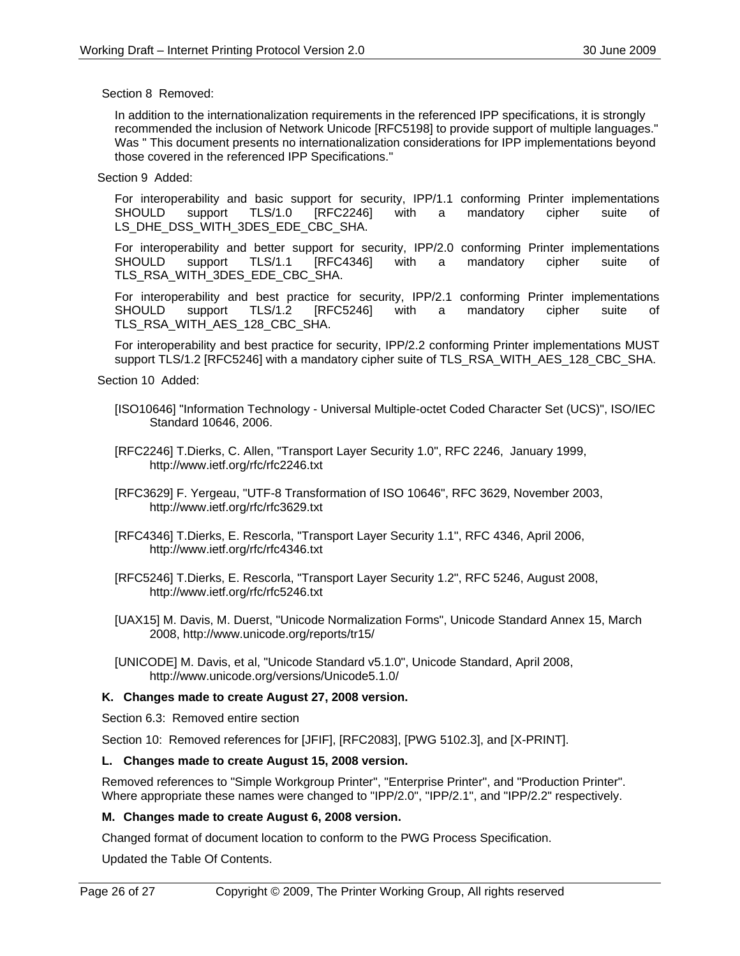Section 8 Removed:

In addition to the internationalization requirements in the referenced IPP specifications, it is strongly recommended the inclusion of Network Unicode [RFC5198] to provide support of multiple languages." Was " This document presents no internationalization considerations for IPP implementations beyond those covered in the referenced IPP Specifications."

Section 9 Added:

For interoperability and basic support for security, IPP/1.1 conforming Printer implementations SHOULD support TLS/1.0 [RFC2246] with a mandatory cipher suite of LS\_DHE\_DSS\_WITH\_3DES\_EDE\_CBC\_SHA.

For interoperability and better support for security, IPP/2.0 conforming Printer implementations SHOULD support TLS/1.1 [RFC4346] with a mandatory cipher suite of TLS\_RSA\_WITH\_3DES\_EDE\_CBC\_SHA.

For interoperability and best practice for security, IPP/2.1 conforming Printer implementations SHOULD support TLS/1.2 [RFC5246] with a mandatory cipher suite of TLS\_RSA\_WITH\_AES\_128\_CBC\_SHA.

For interoperability and best practice for security, IPP/2.2 conforming Printer implementations MUST support TLS/1.2 [RFC5246] with a mandatory cipher suite of TLS\_RSA\_WITH\_AES\_128\_CBC\_SHA.

Section 10 Added:

- [ISO10646] "Information Technology Universal Multiple-octet Coded Character Set (UCS)", ISO/IEC Standard 10646, 2006.
- [RFC2246] T.Dierks, C. Allen, "Transport Layer Security 1.0", RFC 2246, January 1999, http://www.ietf.org/rfc/rfc2246.txt
- [RFC3629] F. Yergeau, "UTF-8 Transformation of ISO 10646", RFC 3629, November 2003, http://www.ietf.org/rfc/rfc3629.txt
- [RFC4346] T.Dierks, E. Rescorla, "Transport Layer Security 1.1", RFC 4346, April 2006, http://www.ietf.org/rfc/rfc4346.txt
- [RFC5246] T.Dierks, E. Rescorla, "Transport Layer Security 1.2", RFC 5246, August 2008, http://www.ietf.org/rfc/rfc5246.txt
- [UAX15] M. Davis, M. Duerst, "Unicode Normalization Forms", Unicode Standard Annex 15, March 2008, http://www.unicode.org/reports/tr15/
- [UNICODE] M. Davis, et al, "Unicode Standard v5.1.0", Unicode Standard, April 2008, http://www.unicode.org/versions/Unicode5.1.0/

#### **K. Changes made to create August 27, 2008 version.**

Section 6.3: Removed entire section

Section 10: Removed references for [JFIF], [RFC2083], [PWG 5102.3], and [X-PRINT].

#### **L. Changes made to create August 15, 2008 version.**

Removed references to "Simple Workgroup Printer", "Enterprise Printer", and "Production Printer". Where appropriate these names were changed to "IPP/2.0", "IPP/2.1", and "IPP/2.2" respectively.

#### **M. Changes made to create August 6, 2008 version.**

Changed format of document location to conform to the PWG Process Specification.

Updated the Table Of Contents.